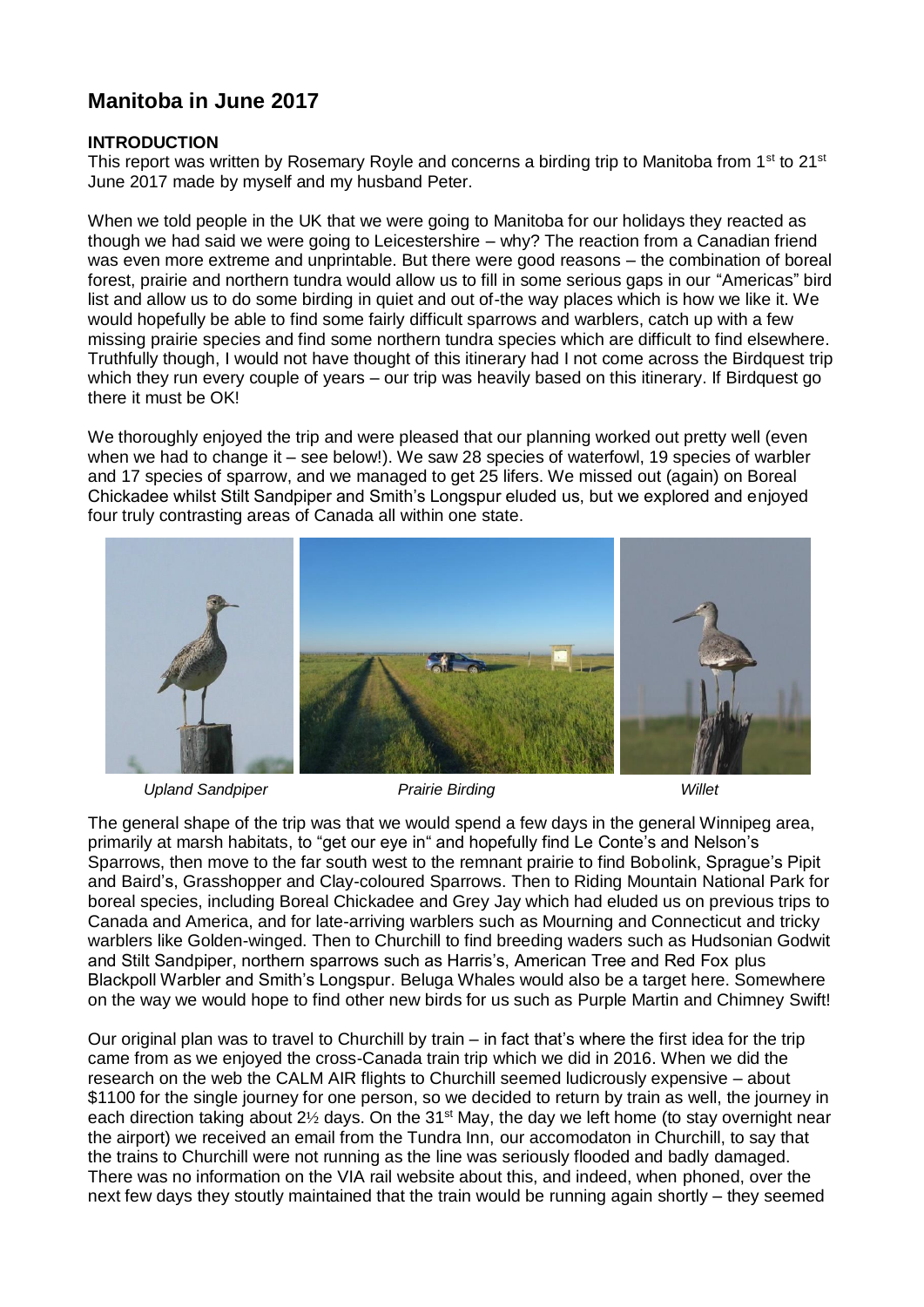# **Manitoba in June 2017**

## **INTRODUCTION**

This report was written by Rosemary Royle and concerns a birding trip to Manitoba from 1<sup>st</sup> to 21<sup>st</sup> June 2017 made by myself and my husband Peter.

When we told people in the UK that we were going to Manitoba for our holidays they reacted as though we had said we were going to Leicestershire – why? The reaction from a Canadian friend was even more extreme and unprintable. But there were good reasons – the combination of boreal forest, prairie and northern tundra would allow us to fill in some serious gaps in our "Americas" bird list and allow us to do some birding in quiet and out of-the way places which is how we like it. We would hopefully be able to find some fairly difficult sparrows and warblers, catch up with a few missing prairie species and find some northern tundra species which are difficult to find elsewhere. Truthfully though, I would not have thought of this itinerary had I not come across the Birdquest trip which they run every couple of years – our trip was heavily based on this itinerary. If Birdquest go there it must be OK!

We thoroughly enjoyed the trip and were pleased that our planning worked out pretty well (even when we had to change it – see below!). We saw 28 species of waterfowl, 19 species of warbler and 17 species of sparrow, and we managed to get 25 lifers. We missed out (again) on Boreal Chickadee whilst Stilt Sandpiper and Smith's Longspur eluded us, but we explored and enjoyed four truly contrasting areas of Canada all within one state.



*Upland Sandpiper Prairie Birding Willet*

The general shape of the trip was that we would spend a few days in the general Winnipeg area, primarily at marsh habitats, to "get our eye in" and hopefully find Le Conte's and Nelson's Sparrows, then move to the far south west to the remnant prairie to find Bobolink, Sprague's Pipit and Baird's, Grasshopper and Clay-coloured Sparrows. Then to Riding Mountain National Park for boreal species, including Boreal Chickadee and Grey Jay which had eluded us on previous trips to Canada and America, and for late-arriving warblers such as Mourning and Connecticut and tricky warblers like Golden-winged. Then to Churchill to find breeding waders such as Hudsonian Godwit and Stilt Sandpiper, northern sparrows such as Harris's, American Tree and Red Fox plus Blackpoll Warbler and Smith's Longspur. Beluga Whales would also be a target here. Somewhere on the way we would hope to find other new birds for us such as Purple Martin and Chimney Swift!

Our original plan was to travel to Churchill by train – in fact that's where the first idea for the trip came from as we enjoyed the cross-Canada train trip which we did in 2016. When we did the research on the web the CALM AIR flights to Churchill seemed ludicrously expensive – about \$1100 for the single journey for one person, so we decided to return by train as well, the journey in each direction taking about 2<sup>1/2</sup> days. On the 31<sup>st</sup> May, the day we left home (to stay overnight near the airport) we received an email from the Tundra Inn, our accomodaton in Churchill, to say that the trains to Churchill were not running as the line was seriously flooded and badly damaged. There was no information on the VIA rail website about this, and indeed, when phoned, over the next few days they stoutly maintained that the train would be running again shortly – they seemed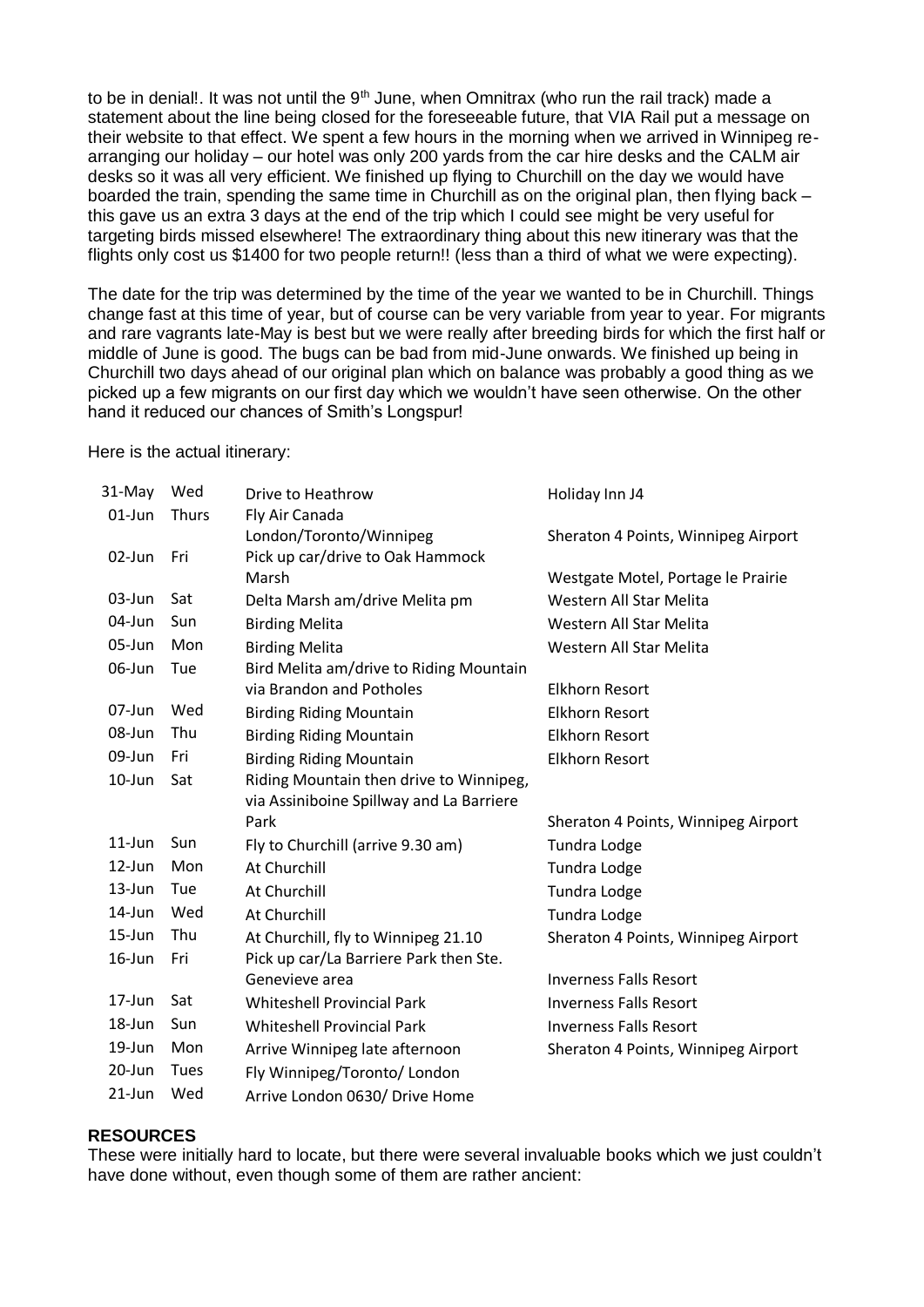to be in denial!. It was not until the  $9<sup>th</sup>$  June, when Omnitrax (who run the rail track) made a statement about the line being closed for the foreseeable future, that VIA Rail put a message on their website to that effect. We spent a few hours in the morning when we arrived in Winnipeg rearranging our holiday – our hotel was only 200 yards from the car hire desks and the CALM air desks so it was all very efficient. We finished up flying to Churchill on the day we would have boarded the train, spending the same time in Churchill as on the original plan, then flying back – this gave us an extra 3 days at the end of the trip which I could see might be very useful for targeting birds missed elsewhere! The extraordinary thing about this new itinerary was that the flights only cost us \$1400 for two people return!! (less than a third of what we were expecting).

The date for the trip was determined by the time of the year we wanted to be in Churchill. Things change fast at this time of year, but of course can be very variable from year to year. For migrants and rare vagrants late-May is best but we were really after breeding birds for which the first half or middle of June is good. The bugs can be bad from mid-June onwards. We finished up being in Churchill two days ahead of our original plan which on balance was probably a good thing as we picked up a few migrants on our first day which we wouldn't have seen otherwise. On the other hand it reduced our chances of Smith's Longspur!

Here is the actual itinerary:

| 31-May     | Wed          | Drive to Heathrow                        | Holiday Inn J4                      |
|------------|--------------|------------------------------------------|-------------------------------------|
| $01$ -Jun  | <b>Thurs</b> | Fly Air Canada                           |                                     |
|            |              | London/Toronto/Winnipeg                  | Sheraton 4 Points, Winnipeg Airport |
| 02-Jun     | Fri          | Pick up car/drive to Oak Hammock         |                                     |
|            |              | Marsh                                    | Westgate Motel, Portage le Prairie  |
| $03$ -Jun  | Sat          | Delta Marsh am/drive Melita pm           | Western All Star Melita             |
| 04-Jun     | Sun          | <b>Birding Melita</b>                    | Western All Star Melita             |
| 05-Jun     | Mon          | <b>Birding Melita</b>                    | Western All Star Melita             |
| 06-Jun     | Tue          | Bird Melita am/drive to Riding Mountain  |                                     |
|            |              | via Brandon and Potholes                 | <b>Elkhorn Resort</b>               |
| 07-Jun     | Wed          | <b>Birding Riding Mountain</b>           | <b>Elkhorn Resort</b>               |
| 08-Jun     | Thu          | <b>Birding Riding Mountain</b>           | <b>Elkhorn Resort</b>               |
| 09-Jun     | Fri          | <b>Birding Riding Mountain</b>           | <b>Elkhorn Resort</b>               |
| $10 - Jun$ | Sat          | Riding Mountain then drive to Winnipeg,  |                                     |
|            |              | via Assiniboine Spillway and La Barriere |                                     |
|            |              | Park                                     | Sheraton 4 Points, Winnipeg Airport |
| $11$ -Jun  | Sun          | Fly to Churchill (arrive 9.30 am)        | Tundra Lodge                        |
| 12-Jun     | Mon          | At Churchill                             | <b>Tundra Lodge</b>                 |
| 13-Jun     | Tue          | At Churchill                             | <b>Tundra Lodge</b>                 |
| 14-Jun     | Wed          | At Churchill                             | Tundra Lodge                        |
| 15-Jun     | Thu          | At Churchill, fly to Winnipeg 21.10      | Sheraton 4 Points, Winnipeg Airport |
| 16-Jun     | Fri          | Pick up car/La Barriere Park then Ste.   |                                     |
|            |              | Genevieve area                           | <b>Inverness Falls Resort</b>       |
| $17$ -Jun  | Sat          | <b>Whiteshell Provincial Park</b>        | <b>Inverness Falls Resort</b>       |
| 18-Jun     | Sun          | <b>Whiteshell Provincial Park</b>        | <b>Inverness Falls Resort</b>       |
| 19-Jun     | Mon          | Arrive Winnipeg late afternoon           | Sheraton 4 Points, Winnipeg Airport |
| 20-Jun     | <b>Tues</b>  | Fly Winnipeg/Toronto/ London             |                                     |
| $21$ -Jun  | Wed          | Arrive London 0630/ Drive Home           |                                     |

## **RESOURCES**

These were initially hard to locate, but there were several invaluable books which we just couldn't have done without, even though some of them are rather ancient: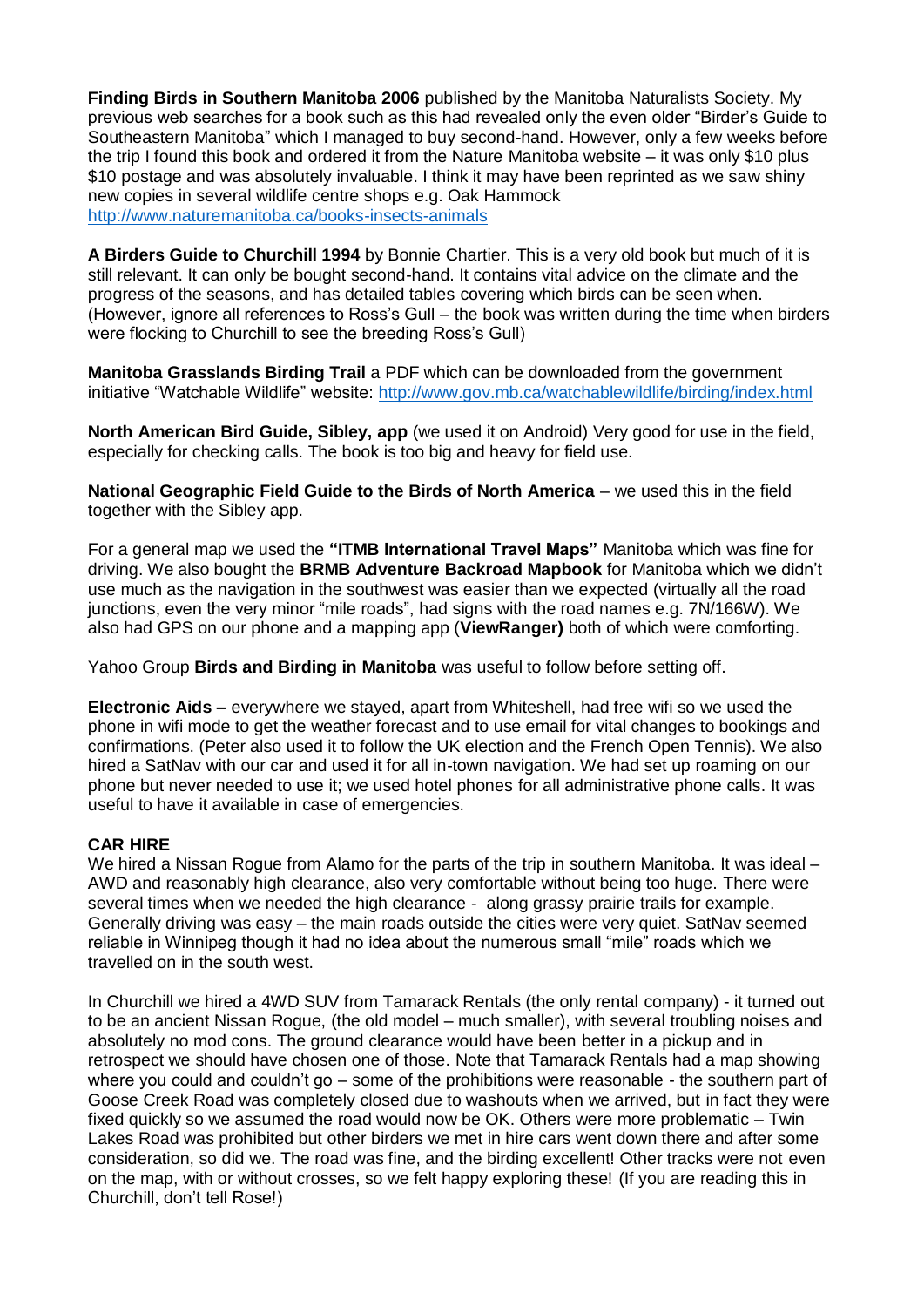**Finding Birds in Southern Manitoba 2006** published by the Manitoba Naturalists Society. My previous web searches for a book such as this had revealed only the even older "Birder's Guide to Southeastern Manitoba" which I managed to buy second-hand. However, only a few weeks before the trip I found this book and ordered it from the Nature Manitoba website – it was only \$10 plus \$10 postage and was absolutely invaluable. I think it may have been reprinted as we saw shiny new copies in several wildlife centre shops e.g. Oak Hammock <http://www.naturemanitoba.ca/books-insects-animals>

**A Birders Guide to Churchill 1994** by Bonnie Chartier. This is a very old book but much of it is still relevant. It can only be bought second-hand. It contains vital advice on the climate and the progress of the seasons, and has detailed tables covering which birds can be seen when. (However, ignore all references to Ross's Gull – the book was written during the time when birders were flocking to Churchill to see the breeding Ross's Gull)

**Manitoba Grasslands Birding Trail** a PDF which can be downloaded from the government initiative "Watchable Wildlife" website:<http://www.gov.mb.ca/watchablewildlife/birding/index.html>

**North American Bird Guide, Sibley, app** (we used it on Android) Very good for use in the field, especially for checking calls. The book is too big and heavy for field use.

**National Geographic Field Guide to the Birds of North America** – we used this in the field together with the Sibley app.

For a general map we used the **"ITMB International Travel Maps"** Manitoba which was fine for driving. We also bought the **BRMB Adventure Backroad Mapbook** for Manitoba which we didn't use much as the navigation in the southwest was easier than we expected (virtually all the road junctions, even the very minor "mile roads", had signs with the road names e.g. 7N/166W). We also had GPS on our phone and a mapping app (**ViewRanger)** both of which were comforting.

Yahoo Group **Birds and Birding in Manitoba** was useful to follow before setting off.

**Electronic Aids –** everywhere we stayed, apart from Whiteshell, had free wifi so we used the phone in wifi mode to get the weather forecast and to use email for vital changes to bookings and confirmations. (Peter also used it to follow the UK election and the French Open Tennis). We also hired a SatNav with our car and used it for all in-town navigation. We had set up roaming on our phone but never needed to use it; we used hotel phones for all administrative phone calls. It was useful to have it available in case of emergencies.

## **CAR HIRE**

We hired a Nissan Roque from Alamo for the parts of the trip in southern Manitoba. It was ideal – AWD and reasonably high clearance, also very comfortable without being too huge. There were several times when we needed the high clearance - along grassy prairie trails for example. Generally driving was easy – the main roads outside the cities were very quiet. SatNav seemed reliable in Winnipeg though it had no idea about the numerous small "mile" roads which we travelled on in the south west.

In Churchill we hired a 4WD SUV from Tamarack Rentals (the only rental company) - it turned out to be an ancient Nissan Rogue, (the old model – much smaller), with several troubling noises and absolutely no mod cons. The ground clearance would have been better in a pickup and in retrospect we should have chosen one of those. Note that Tamarack Rentals had a map showing where you could and couldn't go – some of the prohibitions were reasonable - the southern part of Goose Creek Road was completely closed due to washouts when we arrived, but in fact they were fixed quickly so we assumed the road would now be OK. Others were more problematic – Twin Lakes Road was prohibited but other birders we met in hire cars went down there and after some consideration, so did we. The road was fine, and the birding excellent! Other tracks were not even on the map, with or without crosses, so we felt happy exploring these! (If you are reading this in Churchill, don't tell Rose!)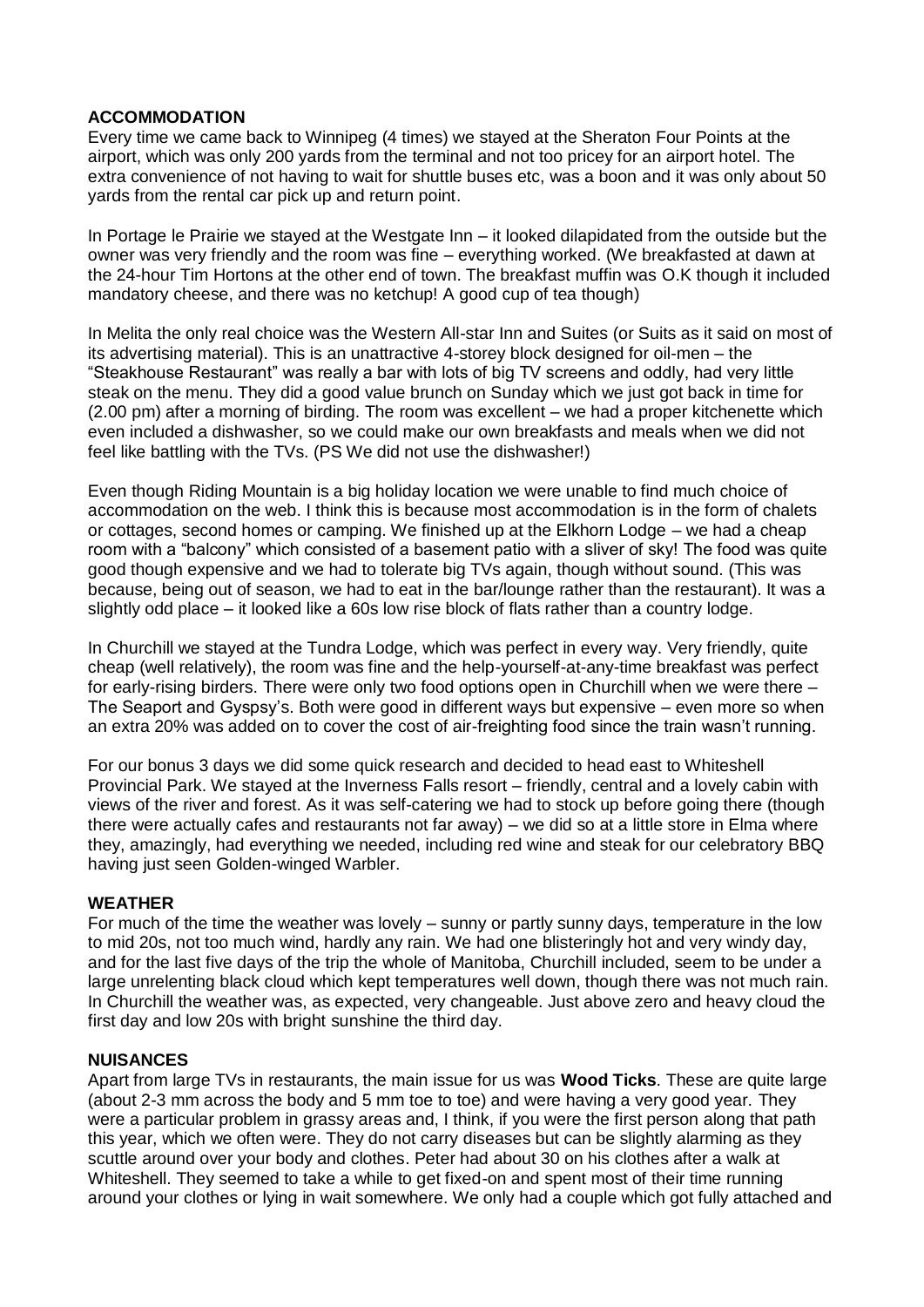## **ACCOMMODATION**

Every time we came back to Winnipeg (4 times) we stayed at the Sheraton Four Points at the airport, which was only 200 yards from the terminal and not too pricey for an airport hotel. The extra convenience of not having to wait for shuttle buses etc, was a boon and it was only about 50 yards from the rental car pick up and return point.

In Portage le Prairie we stayed at the Westgate Inn – it looked dilapidated from the outside but the owner was very friendly and the room was fine – everything worked. (We breakfasted at dawn at the 24-hour Tim Hortons at the other end of town. The breakfast muffin was O.K though it included mandatory cheese, and there was no ketchup! A good cup of tea though)

In Melita the only real choice was the Western All-star Inn and Suites (or Suits as it said on most of its advertising material). This is an unattractive 4-storey block designed for oil-men – the "Steakhouse Restaurant" was really a bar with lots of big TV screens and oddly, had very little steak on the menu. They did a good value brunch on Sunday which we just got back in time for (2.00 pm) after a morning of birding. The room was excellent – we had a proper kitchenette which even included a dishwasher, so we could make our own breakfasts and meals when we did not feel like battling with the TVs. (PS We did not use the dishwasher!)

Even though Riding Mountain is a big holiday location we were unable to find much choice of accommodation on the web. I think this is because most accommodation is in the form of chalets or cottages, second homes or camping. We finished up at the Elkhorn Lodge – we had a cheap room with a "balcony" which consisted of a basement patio with a sliver of sky! The food was quite good though expensive and we had to tolerate big TVs again, though without sound. (This was because, being out of season, we had to eat in the bar/lounge rather than the restaurant). It was a slightly odd place – it looked like a 60s low rise block of flats rather than a country lodge.

In Churchill we stayed at the Tundra Lodge, which was perfect in every way. Very friendly, quite cheap (well relatively), the room was fine and the help-yourself-at-any-time breakfast was perfect for early-rising birders. There were only two food options open in Churchill when we were there – The Seaport and Gyspsy's. Both were good in different ways but expensive – even more so when an extra 20% was added on to cover the cost of air-freighting food since the train wasn't running.

For our bonus 3 days we did some quick research and decided to head east to Whiteshell Provincial Park. We stayed at the Inverness Falls resort – friendly, central and a lovely cabin with views of the river and forest. As it was self-catering we had to stock up before going there (though there were actually cafes and restaurants not far away) – we did so at a little store in Elma where they, amazingly, had everything we needed, including red wine and steak for our celebratory BBQ having just seen Golden-winged Warbler.

## **WEATHER**

For much of the time the weather was lovely – sunny or partly sunny days, temperature in the low to mid 20s, not too much wind, hardly any rain. We had one blisteringly hot and very windy day, and for the last five days of the trip the whole of Manitoba, Churchill included, seem to be under a large unrelenting black cloud which kept temperatures well down, though there was not much rain. In Churchill the weather was, as expected, very changeable. Just above zero and heavy cloud the first day and low 20s with bright sunshine the third day.

## **NUISANCES**

Apart from large TVs in restaurants, the main issue for us was **Wood Ticks**. These are quite large (about 2-3 mm across the body and 5 mm toe to toe) and were having a very good year. They were a particular problem in grassy areas and, I think, if you were the first person along that path this year, which we often were. They do not carry diseases but can be slightly alarming as they scuttle around over your body and clothes. Peter had about 30 on his clothes after a walk at Whiteshell. They seemed to take a while to get fixed-on and spent most of their time running around your clothes or lying in wait somewhere. We only had a couple which got fully attached and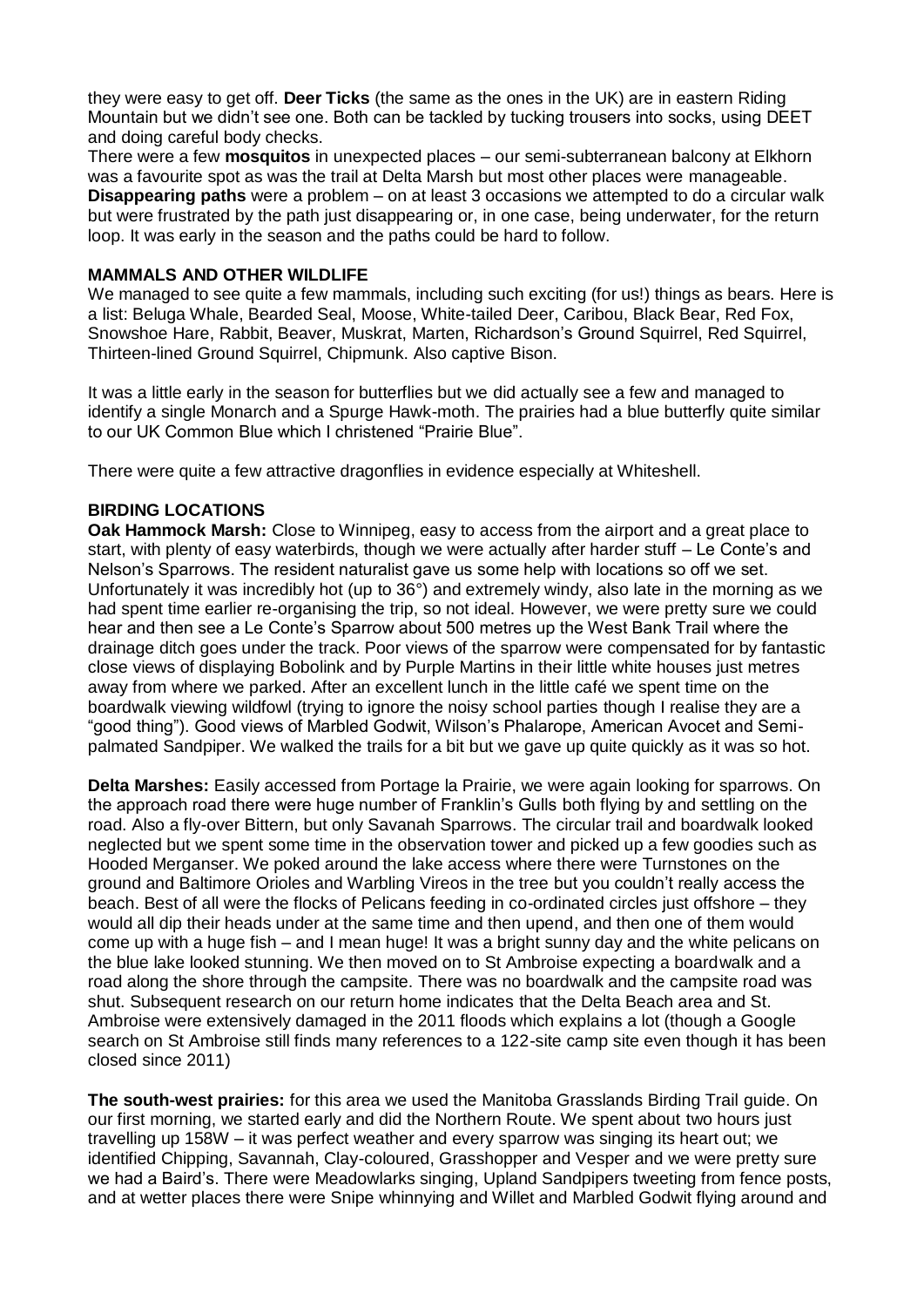they were easy to get off. **Deer Ticks** (the same as the ones in the UK) are in eastern Riding Mountain but we didn't see one. Both can be tackled by tucking trousers into socks, using DEET and doing careful body checks.

There were a few **mosquitos** in unexpected places – our semi-subterranean balcony at Elkhorn was a favourite spot as was the trail at Delta Marsh but most other places were manageable. **Disappearing paths** were a problem – on at least 3 occasions we attempted to do a circular walk but were frustrated by the path just disappearing or, in one case, being underwater, for the return loop. It was early in the season and the paths could be hard to follow.

## **MAMMALS AND OTHER WILDLIFE**

We managed to see quite a few mammals, including such exciting (for us!) things as bears. Here is a list: Beluga Whale, Bearded Seal, Moose, White-tailed Deer, Caribou, Black Bear, Red Fox, Snowshoe Hare, Rabbit, Beaver, Muskrat, Marten, Richardson's Ground Squirrel, Red Squirrel, Thirteen-lined Ground Squirrel, Chipmunk. Also captive Bison.

It was a little early in the season for butterflies but we did actually see a few and managed to identify a single Monarch and a Spurge Hawk-moth. The prairies had a blue butterfly quite similar to our UK Common Blue which I christened "Prairie Blue".

There were quite a few attractive dragonflies in evidence especially at Whiteshell.

## **BIRDING LOCATIONS**

**Oak Hammock Marsh:** Close to Winnipeg, easy to access from the airport and a great place to start, with plenty of easy waterbirds, though we were actually after harder stuff – Le Conte's and Nelson's Sparrows. The resident naturalist gave us some help with locations so off we set. Unfortunately it was incredibly hot (up to 36°) and extremely windy, also late in the morning as we had spent time earlier re-organising the trip, so not ideal. However, we were pretty sure we could hear and then see a Le Conte's Sparrow about 500 metres up the West Bank Trail where the drainage ditch goes under the track. Poor views of the sparrow were compensated for by fantastic close views of displaying Bobolink and by Purple Martins in their little white houses just metres away from where we parked. After an excellent lunch in the little café we spent time on the boardwalk viewing wildfowl (trying to ignore the noisy school parties though I realise they are a "good thing"). Good views of Marbled Godwit, Wilson's Phalarope, American Avocet and Semipalmated Sandpiper. We walked the trails for a bit but we gave up quite quickly as it was so hot.

**Delta Marshes:** Easily accessed from Portage la Prairie, we were again looking for sparrows. On the approach road there were huge number of Franklin's Gulls both flying by and settling on the road. Also a fly-over Bittern, but only Savanah Sparrows. The circular trail and boardwalk looked neglected but we spent some time in the observation tower and picked up a few goodies such as Hooded Merganser. We poked around the lake access where there were Turnstones on the ground and Baltimore Orioles and Warbling Vireos in the tree but you couldn't really access the beach. Best of all were the flocks of Pelicans feeding in co-ordinated circles just offshore – they would all dip their heads under at the same time and then upend, and then one of them would come up with a huge fish – and I mean huge! It was a bright sunny day and the white pelicans on the blue lake looked stunning. We then moved on to St Ambroise expecting a boardwalk and a road along the shore through the campsite. There was no boardwalk and the campsite road was shut. Subsequent research on our return home indicates that the Delta Beach area and St. Ambroise were extensively damaged in the 2011 floods which explains a lot (though a Google search on St Ambroise still finds many references to a 122-site camp site even though it has been closed since 2011)

**The south-west prairies:** for this area we used the Manitoba Grasslands Birding Trail guide. On our first morning, we started early and did the Northern Route. We spent about two hours just travelling up 158W – it was perfect weather and every sparrow was singing its heart out; we identified Chipping, Savannah, Clay-coloured, Grasshopper and Vesper and we were pretty sure we had a Baird's. There were Meadowlarks singing, Upland Sandpipers tweeting from fence posts, and at wetter places there were Snipe whinnying and Willet and Marbled Godwit flying around and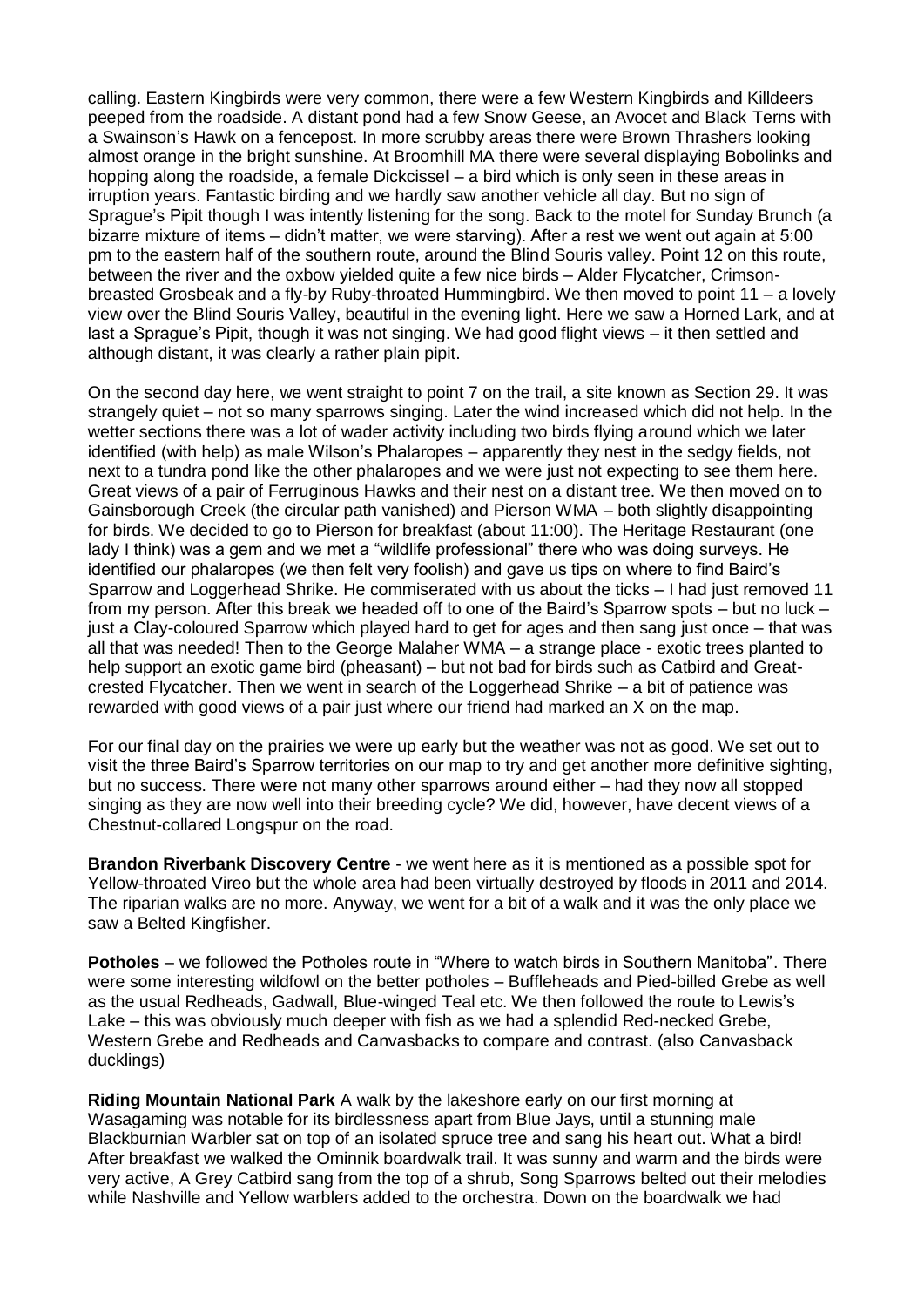calling. Eastern Kingbirds were very common, there were a few Western Kingbirds and Killdeers peeped from the roadside. A distant pond had a few Snow Geese, an Avocet and Black Terns with a Swainson's Hawk on a fencepost. In more scrubby areas there were Brown Thrashers looking almost orange in the bright sunshine. At Broomhill MA there were several displaying Bobolinks and hopping along the roadside, a female Dickcissel – a bird which is only seen in these areas in irruption years. Fantastic birding and we hardly saw another vehicle all day. But no sign of Sprague's Pipit though I was intently listening for the song. Back to the motel for Sunday Brunch (a bizarre mixture of items – didn't matter, we were starving). After a rest we went out again at 5:00 pm to the eastern half of the southern route, around the Blind Souris valley. Point 12 on this route, between the river and the oxbow yielded quite a few nice birds – Alder Flycatcher, Crimsonbreasted Grosbeak and a fly-by Ruby-throated Hummingbird. We then moved to point 11 – a lovely view over the Blind Souris Valley, beautiful in the evening light. Here we saw a Horned Lark, and at last a Sprague's Pipit, though it was not singing. We had good flight views – it then settled and although distant, it was clearly a rather plain pipit.

On the second day here, we went straight to point 7 on the trail, a site known as Section 29. It was strangely quiet – not so many sparrows singing. Later the wind increased which did not help. In the wetter sections there was a lot of wader activity including two birds flying around which we later identified (with help) as male Wilson's Phalaropes – apparently they nest in the sedgy fields, not next to a tundra pond like the other phalaropes and we were just not expecting to see them here. Great views of a pair of Ferruginous Hawks and their nest on a distant tree. We then moved on to Gainsborough Creek (the circular path vanished) and Pierson WMA – both slightly disappointing for birds. We decided to go to Pierson for breakfast (about 11:00). The Heritage Restaurant (one lady I think) was a gem and we met a "wildlife professional" there who was doing surveys. He identified our phalaropes (we then felt very foolish) and gave us tips on where to find Baird's Sparrow and Loggerhead Shrike. He commiserated with us about the ticks – I had just removed 11 from my person. After this break we headed off to one of the Baird's Sparrow spots – but no luck – just a Clay-coloured Sparrow which played hard to get for ages and then sang just once – that was all that was needed! Then to the George Malaher WMA – a strange place - exotic trees planted to help support an exotic game bird (pheasant) – but not bad for birds such as Catbird and Greatcrested Flycatcher. Then we went in search of the Loggerhead Shrike – a bit of patience was rewarded with good views of a pair just where our friend had marked an X on the map.

For our final day on the prairies we were up early but the weather was not as good. We set out to visit the three Baird's Sparrow territories on our map to try and get another more definitive sighting, but no success. There were not many other sparrows around either – had they now all stopped singing as they are now well into their breeding cycle? We did, however, have decent views of a Chestnut-collared Longspur on the road.

**Brandon Riverbank Discovery Centre** - we went here as it is mentioned as a possible spot for Yellow-throated Vireo but the whole area had been virtually destroyed by floods in 2011 and 2014. The riparian walks are no more. Anyway, we went for a bit of a walk and it was the only place we saw a Belted Kingfisher.

**Potholes** – we followed the Potholes route in "Where to watch birds in Southern Manitoba". There were some interesting wildfowl on the better potholes – Buffleheads and Pied-billed Grebe as well as the usual Redheads, Gadwall, Blue-winged Teal etc. We then followed the route to Lewis's Lake – this was obviously much deeper with fish as we had a splendid Red-necked Grebe, Western Grebe and Redheads and Canvasbacks to compare and contrast. (also Canvasback ducklings)

**Riding Mountain National Park** A walk by the lakeshore early on our first morning at Wasagaming was notable for its birdlessness apart from Blue Jays, until a stunning male Blackburnian Warbler sat on top of an isolated spruce tree and sang his heart out. What a bird! After breakfast we walked the Ominnik boardwalk trail. It was sunny and warm and the birds were very active, A Grey Catbird sang from the top of a shrub, Song Sparrows belted out their melodies while Nashville and Yellow warblers added to the orchestra. Down on the boardwalk we had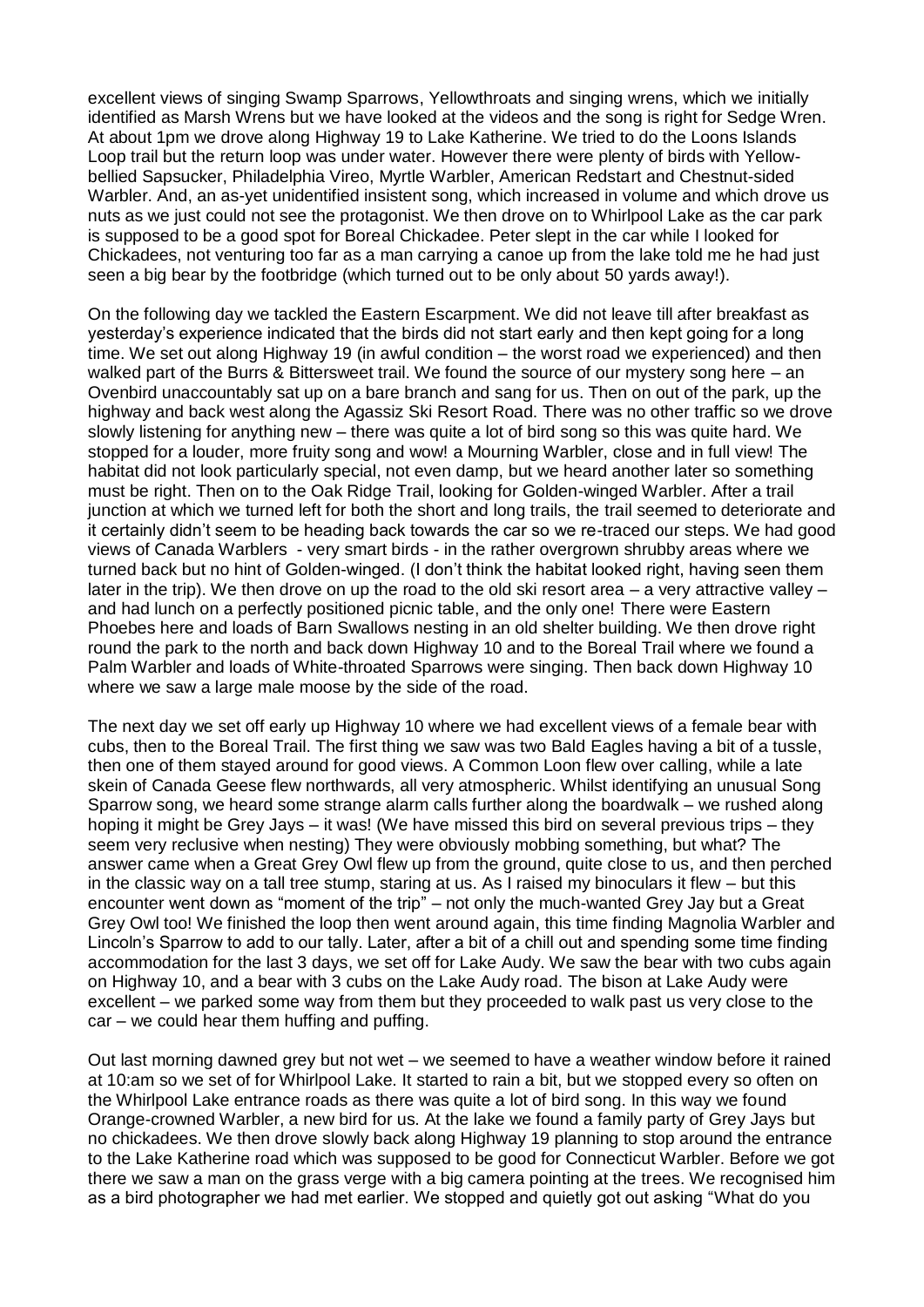excellent views of singing Swamp Sparrows, Yellowthroats and singing wrens, which we initially identified as Marsh Wrens but we have looked at the videos and the song is right for Sedge Wren. At about 1pm we drove along Highway 19 to Lake Katherine. We tried to do the Loons Islands Loop trail but the return loop was under water. However there were plenty of birds with Yellowbellied Sapsucker, Philadelphia Vireo, Myrtle Warbler, American Redstart and Chestnut-sided Warbler. And, an as-yet unidentified insistent song, which increased in volume and which drove us nuts as we just could not see the protagonist. We then drove on to Whirlpool Lake as the car park is supposed to be a good spot for Boreal Chickadee. Peter slept in the car while I looked for Chickadees, not venturing too far as a man carrying a canoe up from the lake told me he had just seen a big bear by the footbridge (which turned out to be only about 50 yards away!).

On the following day we tackled the Eastern Escarpment. We did not leave till after breakfast as yesterday's experience indicated that the birds did not start early and then kept going for a long time. We set out along Highway 19 (in awful condition – the worst road we experienced) and then walked part of the Burrs & Bittersweet trail. We found the source of our mystery song here – an Ovenbird unaccountably sat up on a bare branch and sang for us. Then on out of the park, up the highway and back west along the Agassiz Ski Resort Road. There was no other traffic so we drove slowly listening for anything new – there was quite a lot of bird song so this was quite hard. We stopped for a louder, more fruity song and wow! a Mourning Warbler, close and in full view! The habitat did not look particularly special, not even damp, but we heard another later so something must be right. Then on to the Oak Ridge Trail, looking for Golden-winged Warbler. After a trail junction at which we turned left for both the short and long trails, the trail seemed to deteriorate and it certainly didn't seem to be heading back towards the car so we re-traced our steps. We had good views of Canada Warblers - very smart birds - in the rather overgrown shrubby areas where we turned back but no hint of Golden-winged. (I don't think the habitat looked right, having seen them later in the trip). We then drove on up the road to the old ski resort area  $-$  a very attractive valley  $$ and had lunch on a perfectly positioned picnic table, and the only one! There were Eastern Phoebes here and loads of Barn Swallows nesting in an old shelter building. We then drove right round the park to the north and back down Highway 10 and to the Boreal Trail where we found a Palm Warbler and loads of White-throated Sparrows were singing. Then back down Highway 10 where we saw a large male moose by the side of the road.

The next day we set off early up Highway 10 where we had excellent views of a female bear with cubs, then to the Boreal Trail. The first thing we saw was two Bald Eagles having a bit of a tussle, then one of them stayed around for good views. A Common Loon flew over calling, while a late skein of Canada Geese flew northwards, all very atmospheric. Whilst identifying an unusual Song Sparrow song, we heard some strange alarm calls further along the boardwalk – we rushed along hoping it might be Grey Jays – it was! (We have missed this bird on several previous trips – they seem very reclusive when nesting) They were obviously mobbing something, but what? The answer came when a Great Grey Owl flew up from the ground, quite close to us, and then perched in the classic way on a tall tree stump, staring at us. As I raised my binoculars it flew – but this encounter went down as "moment of the trip" – not only the much-wanted Grey Jay but a Great Grey Owl too! We finished the loop then went around again, this time finding Magnolia Warbler and Lincoln's Sparrow to add to our tally. Later, after a bit of a chill out and spending some time finding accommodation for the last 3 days, we set off for Lake Audy. We saw the bear with two cubs again on Highway 10, and a bear with 3 cubs on the Lake Audy road. The bison at Lake Audy were excellent – we parked some way from them but they proceeded to walk past us very close to the car – we could hear them huffing and puffing.

Out last morning dawned grey but not wet – we seemed to have a weather window before it rained at 10:am so we set of for Whirlpool Lake. It started to rain a bit, but we stopped every so often on the Whirlpool Lake entrance roads as there was quite a lot of bird song. In this way we found Orange-crowned Warbler, a new bird for us. At the lake we found a family party of Grey Jays but no chickadees. We then drove slowly back along Highway 19 planning to stop around the entrance to the Lake Katherine road which was supposed to be good for Connecticut Warbler. Before we got there we saw a man on the grass verge with a big camera pointing at the trees. We recognised him as a bird photographer we had met earlier. We stopped and quietly got out asking "What do you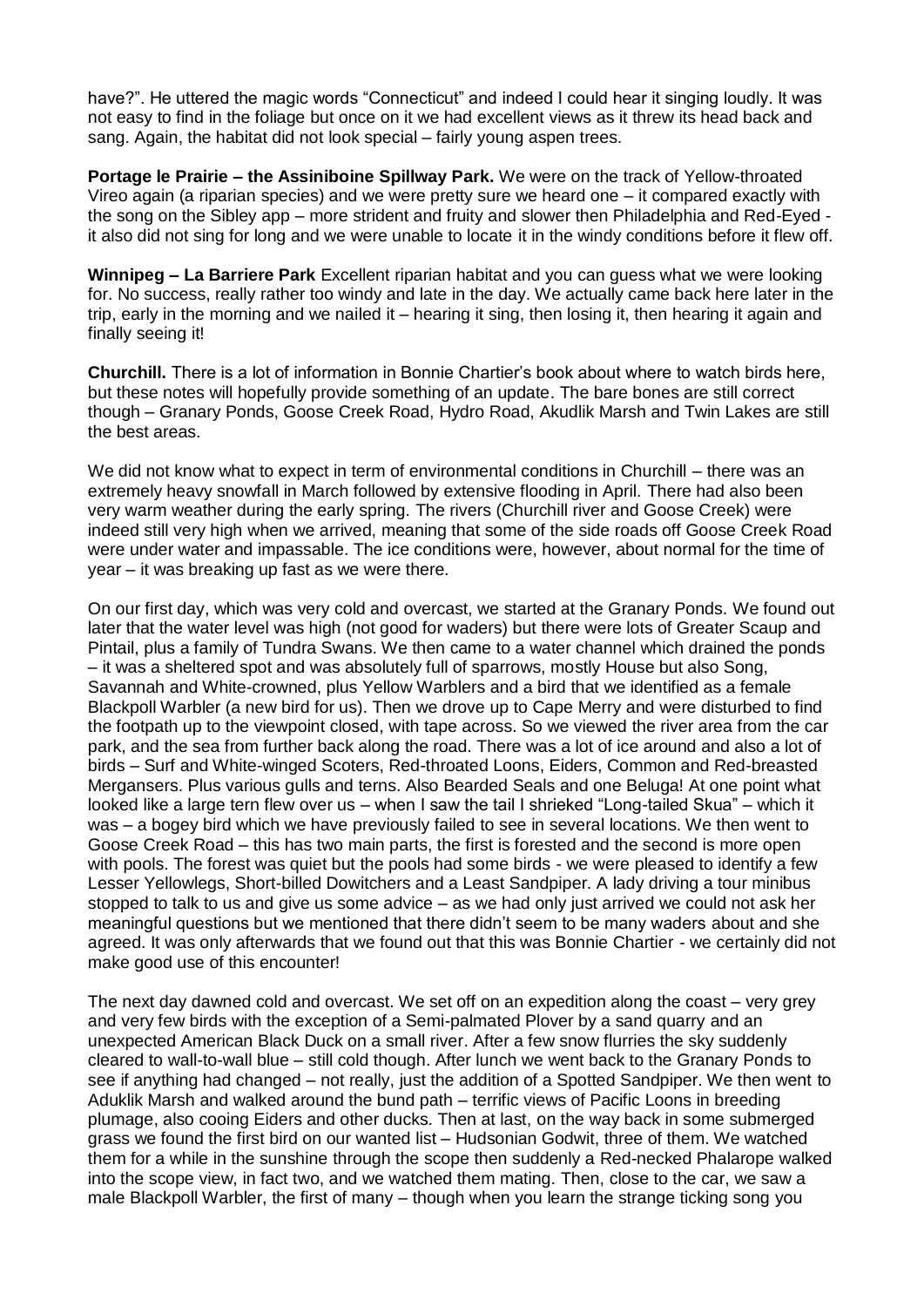have?". He uttered the magic words "Connecticut" and indeed I could hear it singing loudly. It was not easy to find in the foliage but once on it we had excellent views as it threw its head back and sang. Again, the habitat did not look special – fairly young aspen trees.

**Portage le Prairie – the Assiniboine Spillway Park.** We were on the track of Yellow-throated Vireo again (a riparian species) and we were pretty sure we heard one – it compared exactly with the song on the Sibley app – more strident and fruity and slower then Philadelphia and Red-Eyed it also did not sing for long and we were unable to locate it in the windy conditions before it flew off.

**Winnipeg – La Barriere Park** Excellent riparian habitat and you can guess what we were looking for. No success, really rather too windy and late in the day. We actually came back here later in the trip, early in the morning and we nailed it – hearing it sing, then losing it, then hearing it again and finally seeing it!

**Churchill.** There is a lot of information in Bonnie Chartier's book about where to watch birds here, but these notes will hopefully provide something of an update. The bare bones are still correct though – Granary Ponds, Goose Creek Road, Hydro Road, Akudlik Marsh and Twin Lakes are still the best areas.

We did not know what to expect in term of environmental conditions in Churchill – there was an extremely heavy snowfall in March followed by extensive flooding in April. There had also been very warm weather during the early spring. The rivers (Churchill river and Goose Creek) were indeed still very high when we arrived, meaning that some of the side roads off Goose Creek Road were under water and impassable. The ice conditions were, however, about normal for the time of year – it was breaking up fast as we were there.

On our first day, which was very cold and overcast, we started at the Granary Ponds. We found out later that the water level was high (not good for waders) but there were lots of Greater Scaup and Pintail, plus a family of Tundra Swans. We then came to a water channel which drained the ponds – it was a sheltered spot and was absolutely full of sparrows, mostly House but also Song, Savannah and White-crowned, plus Yellow Warblers and a bird that we identified as a female Blackpoll Warbler (a new bird for us). Then we drove up to Cape Merry and were disturbed to find the footpath up to the viewpoint closed, with tape across. So we viewed the river area from the car park, and the sea from further back along the road. There was a lot of ice around and also a lot of birds – Surf and White-winged Scoters, Red-throated Loons, Eiders, Common and Red-breasted Mergansers. Plus various gulls and terns. Also Bearded Seals and one Beluga! At one point what looked like a large tern flew over us – when I saw the tail I shrieked "Long-tailed Skua" – which it was – a bogey bird which we have previously failed to see in several locations. We then went to Goose Creek Road – this has two main parts, the first is forested and the second is more open with pools. The forest was quiet but the pools had some birds - we were pleased to identify a few Lesser Yellowlegs, Short-billed Dowitchers and a Least Sandpiper. A lady driving a tour minibus stopped to talk to us and give us some advice – as we had only just arrived we could not ask her meaningful questions but we mentioned that there didn't seem to be many waders about and she agreed. It was only afterwards that we found out that this was Bonnie Chartier - we certainly did not make good use of this encounter!

The next day dawned cold and overcast. We set off on an expedition along the coast – very grey and very few birds with the exception of a Semi-palmated Plover by a sand quarry and an unexpected American Black Duck on a small river. After a few snow flurries the sky suddenly cleared to wall-to-wall blue – still cold though. After lunch we went back to the Granary Ponds to see if anything had changed – not really, just the addition of a Spotted Sandpiper. We then went to Aduklik Marsh and walked around the bund path – terrific views of Pacific Loons in breeding plumage, also cooing Eiders and other ducks. Then at last, on the way back in some submerged grass we found the first bird on our wanted list – Hudsonian Godwit, three of them. We watched them for a while in the sunshine through the scope then suddenly a Red-necked Phalarope walked into the scope view, in fact two, and we watched them mating. Then, close to the car, we saw a male Blackpoll Warbler, the first of many – though when you learn the strange ticking song you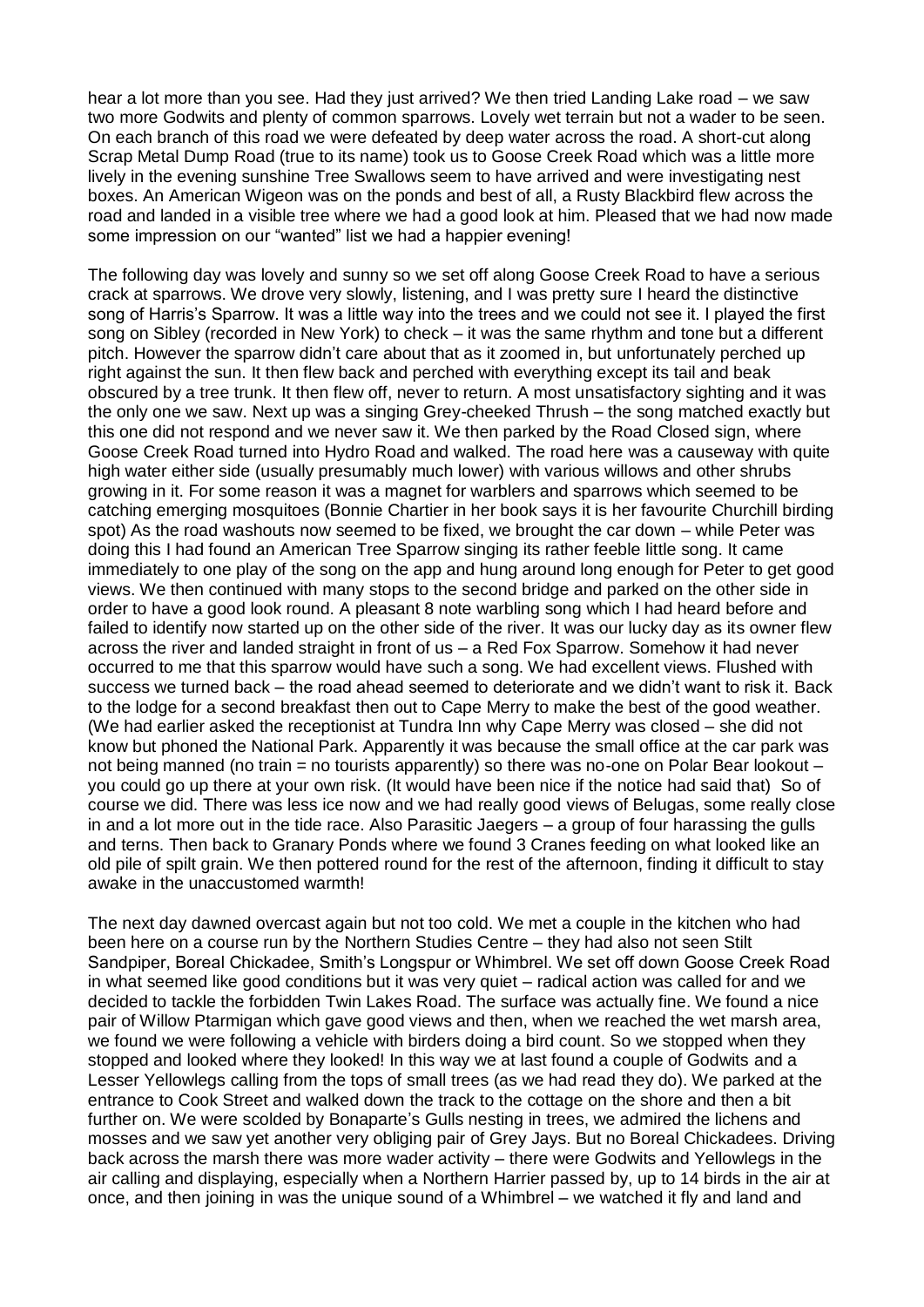hear a lot more than you see. Had they just arrived? We then tried Landing Lake road – we saw two more Godwits and plenty of common sparrows. Lovely wet terrain but not a wader to be seen. On each branch of this road we were defeated by deep water across the road. A short-cut along Scrap Metal Dump Road (true to its name) took us to Goose Creek Road which was a little more lively in the evening sunshine Tree Swallows seem to have arrived and were investigating nest boxes. An American Wigeon was on the ponds and best of all, a Rusty Blackbird flew across the road and landed in a visible tree where we had a good look at him. Pleased that we had now made some impression on our "wanted" list we had a happier evening!

The following day was lovely and sunny so we set off along Goose Creek Road to have a serious crack at sparrows. We drove very slowly, listening, and I was pretty sure I heard the distinctive song of Harris's Sparrow. It was a little way into the trees and we could not see it. I played the first song on Sibley (recorded in New York) to check – it was the same rhythm and tone but a different pitch. However the sparrow didn't care about that as it zoomed in, but unfortunately perched up right against the sun. It then flew back and perched with everything except its tail and beak obscured by a tree trunk. It then flew off, never to return. A most unsatisfactory sighting and it was the only one we saw. Next up was a singing Grey-cheeked Thrush – the song matched exactly but this one did not respond and we never saw it. We then parked by the Road Closed sign, where Goose Creek Road turned into Hydro Road and walked. The road here was a causeway with quite high water either side (usually presumably much lower) with various willows and other shrubs growing in it. For some reason it was a magnet for warblers and sparrows which seemed to be catching emerging mosquitoes (Bonnie Chartier in her book says it is her favourite Churchill birding spot) As the road washouts now seemed to be fixed, we brought the car down – while Peter was doing this I had found an American Tree Sparrow singing its rather feeble little song. It came immediately to one play of the song on the app and hung around long enough for Peter to get good views. We then continued with many stops to the second bridge and parked on the other side in order to have a good look round. A pleasant 8 note warbling song which I had heard before and failed to identify now started up on the other side of the river. It was our lucky day as its owner flew across the river and landed straight in front of us – a Red Fox Sparrow. Somehow it had never occurred to me that this sparrow would have such a song. We had excellent views. Flushed with success we turned back – the road ahead seemed to deteriorate and we didn't want to risk it. Back to the lodge for a second breakfast then out to Cape Merry to make the best of the good weather. (We had earlier asked the receptionist at Tundra Inn why Cape Merry was closed – she did not know but phoned the National Park. Apparently it was because the small office at the car park was not being manned (no train = no tourists apparently) so there was no-one on Polar Bear lookout – you could go up there at your own risk. (It would have been nice if the notice had said that) So of course we did. There was less ice now and we had really good views of Belugas, some really close in and a lot more out in the tide race. Also Parasitic Jaegers – a group of four harassing the gulls and terns. Then back to Granary Ponds where we found 3 Cranes feeding on what looked like an old pile of spilt grain. We then pottered round for the rest of the afternoon, finding it difficult to stay awake in the unaccustomed warmth!

The next day dawned overcast again but not too cold. We met a couple in the kitchen who had been here on a course run by the Northern Studies Centre – they had also not seen Stilt Sandpiper, Boreal Chickadee, Smith's Longspur or Whimbrel. We set off down Goose Creek Road in what seemed like good conditions but it was very quiet – radical action was called for and we decided to tackle the forbidden Twin Lakes Road. The surface was actually fine. We found a nice pair of Willow Ptarmigan which gave good views and then, when we reached the wet marsh area, we found we were following a vehicle with birders doing a bird count. So we stopped when they stopped and looked where they looked! In this way we at last found a couple of Godwits and a Lesser Yellowlegs calling from the tops of small trees (as we had read they do). We parked at the entrance to Cook Street and walked down the track to the cottage on the shore and then a bit further on. We were scolded by Bonaparte's Gulls nesting in trees, we admired the lichens and mosses and we saw yet another very obliging pair of Grey Jays. But no Boreal Chickadees. Driving back across the marsh there was more wader activity – there were Godwits and Yellowlegs in the air calling and displaying, especially when a Northern Harrier passed by, up to 14 birds in the air at once, and then joining in was the unique sound of a Whimbrel – we watched it fly and land and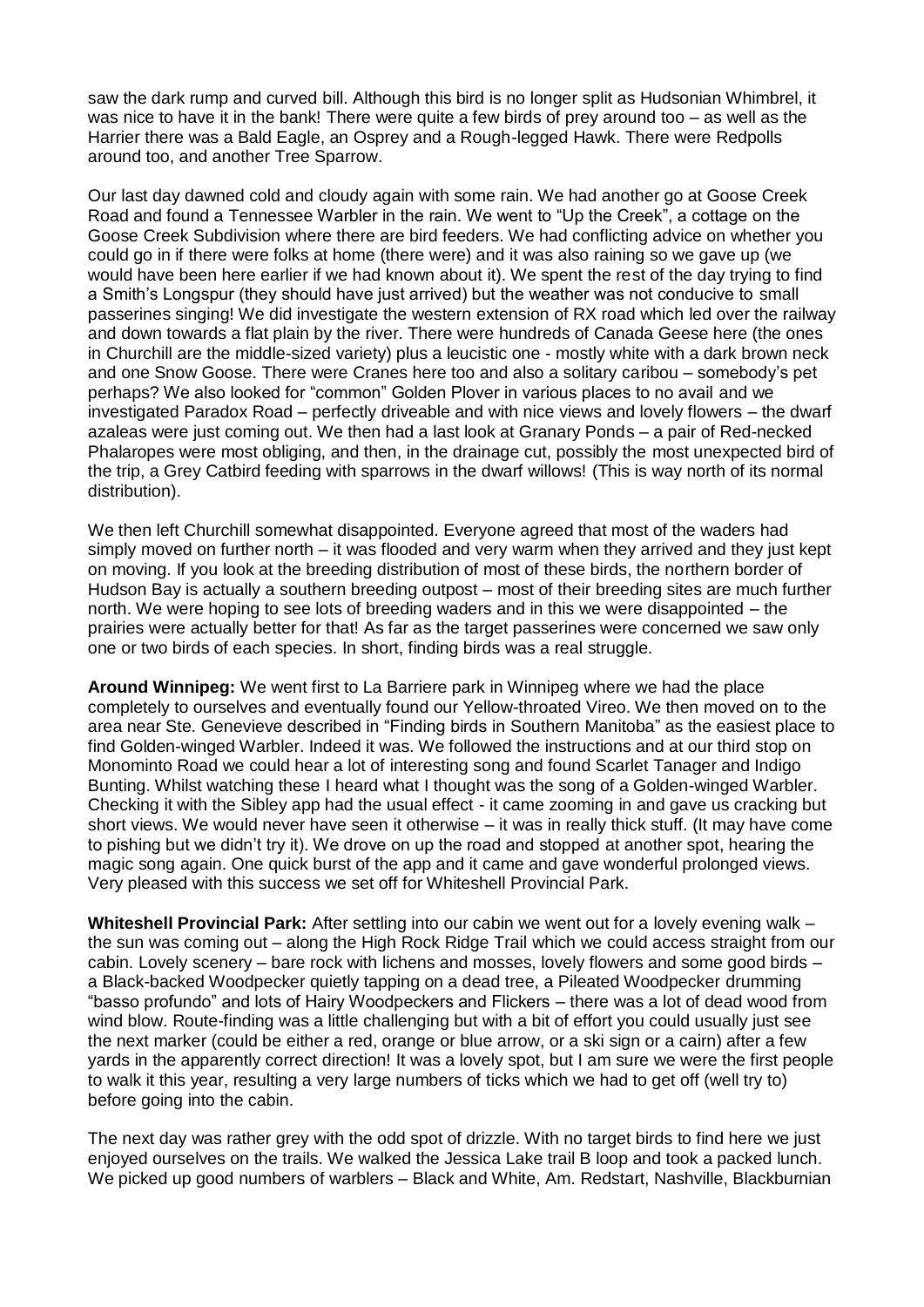saw the dark rump and curved bill. Although this bird is no longer split as Hudsonian Whimbrel, it was nice to have it in the bank! There were quite a few birds of prey around too – as well as the Harrier there was a Bald Eagle, an Osprey and a Rough-legged Hawk. There were Redpolls around too, and another Tree Sparrow.

Our last day dawned cold and cloudy again with some rain. We had another go at Goose Creek Road and found a Tennessee Warbler in the rain. We went to "Up the Creek", a cottage on the Goose Creek Subdivision where there are bird feeders. We had conflicting advice on whether you could go in if there were folks at home (there were) and it was also raining so we gave up (we would have been here earlier if we had known about it). We spent the rest of the day trying to find a Smith's Longspur (they should have just arrived) but the weather was not conducive to small passerines singing! We did investigate the western extension of RX road which led over the railway and down towards a flat plain by the river. There were hundreds of Canada Geese here (the ones in Churchill are the middle-sized variety) plus a leucistic one - mostly white with a dark brown neck and one Snow Goose. There were Cranes here too and also a solitary caribou – somebody's pet perhaps? We also looked for "common" Golden Plover in various places to no avail and we investigated Paradox Road – perfectly driveable and with nice views and lovely flowers – the dwarf azaleas were just coming out. We then had a last look at Granary Ponds – a pair of Red-necked Phalaropes were most obliging, and then, in the drainage cut, possibly the most unexpected bird of the trip, a Grey Catbird feeding with sparrows in the dwarf willows! (This is way north of its normal distribution).

We then left Churchill somewhat disappointed. Everyone agreed that most of the waders had simply moved on further north – it was flooded and very warm when they arrived and they just kept on moving. If you look at the breeding distribution of most of these birds, the northern border of Hudson Bay is actually a southern breeding outpost – most of their breeding sites are much further north. We were hoping to see lots of breeding waders and in this we were disappointed – the prairies were actually better for that! As far as the target passerines were concerned we saw only one or two birds of each species. In short, finding birds was a real struggle.

**Around Winnipeg:** We went first to La Barriere park in Winnipeg where we had the place completely to ourselves and eventually found our Yellow-throated Vireo. We then moved on to the area near Ste. Genevieve described in "Finding birds in Southern Manitoba" as the easiest place to find Golden-winged Warbler. Indeed it was. We followed the instructions and at our third stop on Monominto Road we could hear a lot of interesting song and found Scarlet Tanager and Indigo Bunting. Whilst watching these I heard what I thought was the song of a Golden-winged Warbler. Checking it with the Sibley app had the usual effect - it came zooming in and gave us cracking but short views. We would never have seen it otherwise – it was in really thick stuff. (It may have come to pishing but we didn't try it). We drove on up the road and stopped at another spot, hearing the magic song again. One quick burst of the app and it came and gave wonderful prolonged views. Very pleased with this success we set off for Whiteshell Provincial Park.

**Whiteshell Provincial Park:** After settling into our cabin we went out for a lovely evening walk – the sun was coming out – along the High Rock Ridge Trail which we could access straight from our cabin. Lovely scenery – bare rock with lichens and mosses, lovely flowers and some good birds – a Black-backed Woodpecker quietly tapping on a dead tree, a Pileated Woodpecker drumming "basso profundo" and lots of Hairy Woodpeckers and Flickers – there was a lot of dead wood from wind blow. Route-finding was a little challenging but with a bit of effort you could usually just see the next marker (could be either a red, orange or blue arrow, or a ski sign or a cairn) after a few yards in the apparently correct direction! It was a lovely spot, but I am sure we were the first people to walk it this year, resulting a very large numbers of ticks which we had to get off (well try to) before going into the cabin.

The next day was rather grey with the odd spot of drizzle. With no target birds to find here we just enjoyed ourselves on the trails. We walked the Jessica Lake trail B loop and took a packed lunch. We picked up good numbers of warblers – Black and White, Am. Redstart, Nashville, Blackburnian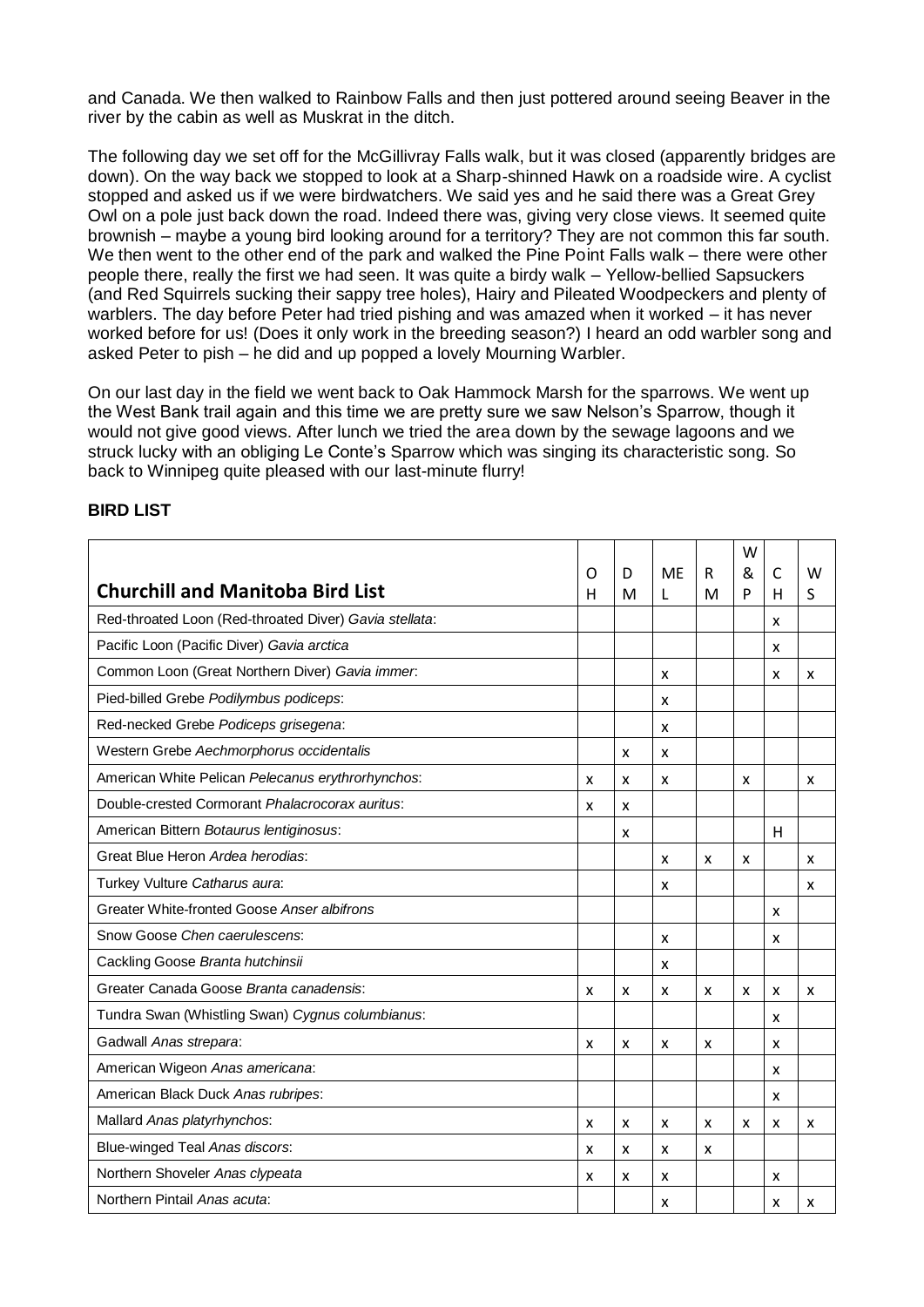and Canada. We then walked to Rainbow Falls and then just pottered around seeing Beaver in the river by the cabin as well as Muskrat in the ditch.

The following day we set off for the McGillivray Falls walk, but it was closed (apparently bridges are down). On the way back we stopped to look at a Sharp-shinned Hawk on a roadside wire. A cyclist stopped and asked us if we were birdwatchers. We said yes and he said there was a Great Grey Owl on a pole just back down the road. Indeed there was, giving very close views. It seemed quite brownish – maybe a young bird looking around for a territory? They are not common this far south. We then went to the other end of the park and walked the Pine Point Falls walk – there were other people there, really the first we had seen. It was quite a birdy walk – Yellow-bellied Sapsuckers (and Red Squirrels sucking their sappy tree holes), Hairy and Pileated Woodpeckers and plenty of warblers. The day before Peter had tried pishing and was amazed when it worked – it has never worked before for us! (Does it only work in the breeding season?) I heard an odd warbler song and asked Peter to pish – he did and up popped a lovely Mourning Warbler.

On our last day in the field we went back to Oak Hammock Marsh for the sparrows. We went up the West Bank trail again and this time we are pretty sure we saw Nelson's Sparrow, though it would not give good views. After lunch we tried the area down by the sewage lagoons and we struck lucky with an obliging Le Conte's Sparrow which was singing its characteristic song. So back to Winnipeg quite pleased with our last-minute flurry!

|                                                        |   |   |           |   | W |   |   |
|--------------------------------------------------------|---|---|-----------|---|---|---|---|
| <b>Churchill and Manitoba Bird List</b>                | O | D | <b>ME</b> | R | & | C | W |
|                                                        | н | M | L         | M | P | н | S |
| Red-throated Loon (Red-throated Diver) Gavia stellata: |   |   |           |   |   | x |   |
| Pacific Loon (Pacific Diver) Gavia arctica             |   |   |           |   |   | X |   |
| Common Loon (Great Northern Diver) Gavia immer.        |   |   | X         |   |   | x | X |
| Pied-billed Grebe Podilymbus podiceps:                 |   |   | X         |   |   |   |   |
| Red-necked Grebe Podiceps grisegena:                   |   |   | X         |   |   |   |   |
| Western Grebe Aechmorphorus occidentalis               |   | X | X         |   |   |   |   |
| American White Pelican Pelecanus erythrorhynchos:      | X | x | X         |   | X |   | X |
| Double-crested Cormorant Phalacrocorax auritus:        | X | x |           |   |   |   |   |
| American Bittern Botaurus lentiginosus:                |   | x |           |   |   | H |   |
| Great Blue Heron Ardea herodias:                       |   |   | x         | X | x |   | X |
| Turkey Vulture Catharus aura:                          |   |   | x         |   |   |   | x |
| Greater White-fronted Goose Anser albifrons            |   |   |           |   |   | x |   |
| Snow Goose Chen caerulescens:                          |   |   | x         |   |   | x |   |
| Cackling Goose Branta hutchinsii                       |   |   | x         |   |   |   |   |
| Greater Canada Goose Branta canadensis:                | X | x | x         | X | x | x | X |
| Tundra Swan (Whistling Swan) Cygnus columbianus:       |   |   |           |   |   | x |   |
| Gadwall Anas strepara:                                 | X | x | x         | X |   | x |   |
| American Wigeon Anas americana:                        |   |   |           |   |   | X |   |
| American Black Duck Anas rubripes:                     |   |   |           |   |   | x |   |
| Mallard Anas platyrhynchos:                            | x | X | x         | X | X | X | x |
| Blue-winged Teal Anas discors:                         | x | x | X         | x |   |   |   |
| Northern Shoveler Anas clypeata                        | X | x | x         |   |   | X |   |
| Northern Pintail Anas acuta:                           |   |   | X         |   |   | x | X |

### **BIRD LIST**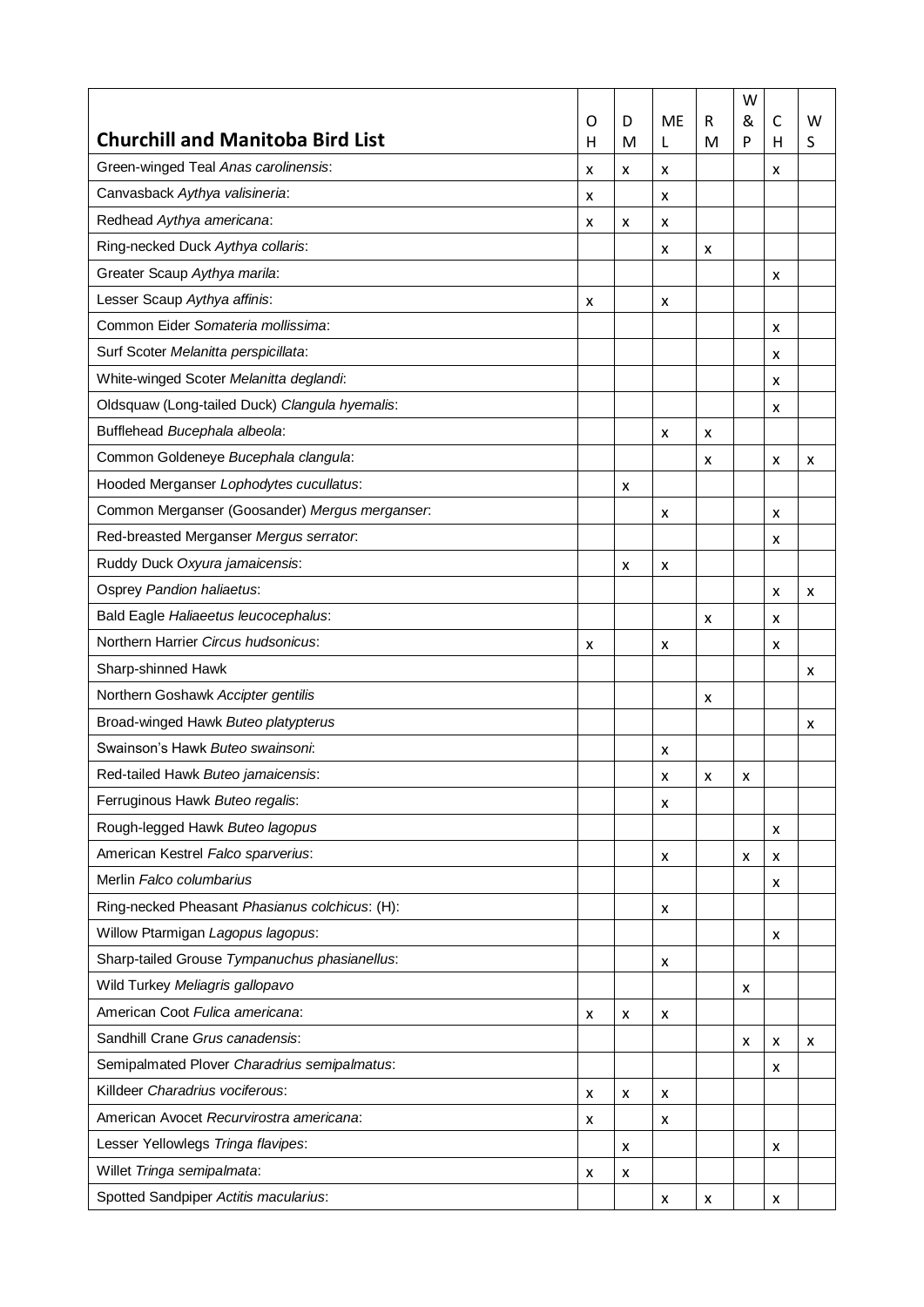| <b>ME</b><br>&<br>C<br>W<br>O<br>D<br>R<br><b>Churchill and Manitoba Bird List</b><br>P<br>н<br>M<br>L<br>M<br>н<br>S<br>Green-winged Teal Anas carolinensis:<br>x<br>x<br>x<br>x<br>Canvasback Aythya valisineria:<br>x<br>x<br>Redhead Aythya americana:<br>x<br>x<br>x<br>Ring-necked Duck Aythya collaris:<br>X<br>x<br>Greater Scaup Aythya marila:<br>x<br>Lesser Scaup Aythya affinis:<br>x<br>х<br>Common Eider Somateria mollissima:<br>x<br>Surf Scoter Melanitta perspicillata:<br>x<br>White-winged Scoter Melanitta deglandi:<br>x<br>Oldsquaw (Long-tailed Duck) Clangula hyemalis:<br>x<br>Bufflehead Bucephala albeola:<br>X<br>x<br>Common Goldeneye Bucephala clangula:<br>x<br>x<br>x<br>Hooded Merganser Lophodytes cucullatus:<br>x<br>Common Merganser (Goosander) Mergus merganser.<br>x<br>x<br>Red-breasted Merganser Mergus serrator.<br>x<br>Ruddy Duck Oxyura jamaicensis:<br>x<br>х<br>Osprey Pandion haliaetus:<br>x<br>x<br>Bald Eagle Haliaeetus leucocephalus:<br>x<br>x<br>Northern Harrier Circus hudsonicus:<br>X<br>x<br>x<br>Sharp-shinned Hawk<br>x<br>Northern Goshawk Accipter gentilis<br>x<br>Broad-winged Hawk Buteo platypterus<br>x<br>Swainson's Hawk Buteo swainsoni:<br>x<br>Red-tailed Hawk Buteo jamaicensis:<br>x<br>x<br>x<br>Ferruginous Hawk Buteo regalis:<br>х<br>Rough-legged Hawk Buteo lagopus |
|------------------------------------------------------------------------------------------------------------------------------------------------------------------------------------------------------------------------------------------------------------------------------------------------------------------------------------------------------------------------------------------------------------------------------------------------------------------------------------------------------------------------------------------------------------------------------------------------------------------------------------------------------------------------------------------------------------------------------------------------------------------------------------------------------------------------------------------------------------------------------------------------------------------------------------------------------------------------------------------------------------------------------------------------------------------------------------------------------------------------------------------------------------------------------------------------------------------------------------------------------------------------------------------------------------------------------------------------------------|
|                                                                                                                                                                                                                                                                                                                                                                                                                                                                                                                                                                                                                                                                                                                                                                                                                                                                                                                                                                                                                                                                                                                                                                                                                                                                                                                                                            |
|                                                                                                                                                                                                                                                                                                                                                                                                                                                                                                                                                                                                                                                                                                                                                                                                                                                                                                                                                                                                                                                                                                                                                                                                                                                                                                                                                            |
|                                                                                                                                                                                                                                                                                                                                                                                                                                                                                                                                                                                                                                                                                                                                                                                                                                                                                                                                                                                                                                                                                                                                                                                                                                                                                                                                                            |
|                                                                                                                                                                                                                                                                                                                                                                                                                                                                                                                                                                                                                                                                                                                                                                                                                                                                                                                                                                                                                                                                                                                                                                                                                                                                                                                                                            |
|                                                                                                                                                                                                                                                                                                                                                                                                                                                                                                                                                                                                                                                                                                                                                                                                                                                                                                                                                                                                                                                                                                                                                                                                                                                                                                                                                            |
|                                                                                                                                                                                                                                                                                                                                                                                                                                                                                                                                                                                                                                                                                                                                                                                                                                                                                                                                                                                                                                                                                                                                                                                                                                                                                                                                                            |
|                                                                                                                                                                                                                                                                                                                                                                                                                                                                                                                                                                                                                                                                                                                                                                                                                                                                                                                                                                                                                                                                                                                                                                                                                                                                                                                                                            |
|                                                                                                                                                                                                                                                                                                                                                                                                                                                                                                                                                                                                                                                                                                                                                                                                                                                                                                                                                                                                                                                                                                                                                                                                                                                                                                                                                            |
|                                                                                                                                                                                                                                                                                                                                                                                                                                                                                                                                                                                                                                                                                                                                                                                                                                                                                                                                                                                                                                                                                                                                                                                                                                                                                                                                                            |
|                                                                                                                                                                                                                                                                                                                                                                                                                                                                                                                                                                                                                                                                                                                                                                                                                                                                                                                                                                                                                                                                                                                                                                                                                                                                                                                                                            |
|                                                                                                                                                                                                                                                                                                                                                                                                                                                                                                                                                                                                                                                                                                                                                                                                                                                                                                                                                                                                                                                                                                                                                                                                                                                                                                                                                            |
|                                                                                                                                                                                                                                                                                                                                                                                                                                                                                                                                                                                                                                                                                                                                                                                                                                                                                                                                                                                                                                                                                                                                                                                                                                                                                                                                                            |
|                                                                                                                                                                                                                                                                                                                                                                                                                                                                                                                                                                                                                                                                                                                                                                                                                                                                                                                                                                                                                                                                                                                                                                                                                                                                                                                                                            |
|                                                                                                                                                                                                                                                                                                                                                                                                                                                                                                                                                                                                                                                                                                                                                                                                                                                                                                                                                                                                                                                                                                                                                                                                                                                                                                                                                            |
|                                                                                                                                                                                                                                                                                                                                                                                                                                                                                                                                                                                                                                                                                                                                                                                                                                                                                                                                                                                                                                                                                                                                                                                                                                                                                                                                                            |
|                                                                                                                                                                                                                                                                                                                                                                                                                                                                                                                                                                                                                                                                                                                                                                                                                                                                                                                                                                                                                                                                                                                                                                                                                                                                                                                                                            |
|                                                                                                                                                                                                                                                                                                                                                                                                                                                                                                                                                                                                                                                                                                                                                                                                                                                                                                                                                                                                                                                                                                                                                                                                                                                                                                                                                            |
|                                                                                                                                                                                                                                                                                                                                                                                                                                                                                                                                                                                                                                                                                                                                                                                                                                                                                                                                                                                                                                                                                                                                                                                                                                                                                                                                                            |
|                                                                                                                                                                                                                                                                                                                                                                                                                                                                                                                                                                                                                                                                                                                                                                                                                                                                                                                                                                                                                                                                                                                                                                                                                                                                                                                                                            |
|                                                                                                                                                                                                                                                                                                                                                                                                                                                                                                                                                                                                                                                                                                                                                                                                                                                                                                                                                                                                                                                                                                                                                                                                                                                                                                                                                            |
|                                                                                                                                                                                                                                                                                                                                                                                                                                                                                                                                                                                                                                                                                                                                                                                                                                                                                                                                                                                                                                                                                                                                                                                                                                                                                                                                                            |
|                                                                                                                                                                                                                                                                                                                                                                                                                                                                                                                                                                                                                                                                                                                                                                                                                                                                                                                                                                                                                                                                                                                                                                                                                                                                                                                                                            |
|                                                                                                                                                                                                                                                                                                                                                                                                                                                                                                                                                                                                                                                                                                                                                                                                                                                                                                                                                                                                                                                                                                                                                                                                                                                                                                                                                            |
|                                                                                                                                                                                                                                                                                                                                                                                                                                                                                                                                                                                                                                                                                                                                                                                                                                                                                                                                                                                                                                                                                                                                                                                                                                                                                                                                                            |
|                                                                                                                                                                                                                                                                                                                                                                                                                                                                                                                                                                                                                                                                                                                                                                                                                                                                                                                                                                                                                                                                                                                                                                                                                                                                                                                                                            |
|                                                                                                                                                                                                                                                                                                                                                                                                                                                                                                                                                                                                                                                                                                                                                                                                                                                                                                                                                                                                                                                                                                                                                                                                                                                                                                                                                            |
| x                                                                                                                                                                                                                                                                                                                                                                                                                                                                                                                                                                                                                                                                                                                                                                                                                                                                                                                                                                                                                                                                                                                                                                                                                                                                                                                                                          |
| American Kestrel Falco sparverius:<br>X<br>x<br>x                                                                                                                                                                                                                                                                                                                                                                                                                                                                                                                                                                                                                                                                                                                                                                                                                                                                                                                                                                                                                                                                                                                                                                                                                                                                                                          |
| Merlin Falco columbarius<br>x                                                                                                                                                                                                                                                                                                                                                                                                                                                                                                                                                                                                                                                                                                                                                                                                                                                                                                                                                                                                                                                                                                                                                                                                                                                                                                                              |
| Ring-necked Pheasant Phasianus colchicus: (H):<br>х                                                                                                                                                                                                                                                                                                                                                                                                                                                                                                                                                                                                                                                                                                                                                                                                                                                                                                                                                                                                                                                                                                                                                                                                                                                                                                        |
| Willow Ptarmigan Lagopus lagopus:<br>x                                                                                                                                                                                                                                                                                                                                                                                                                                                                                                                                                                                                                                                                                                                                                                                                                                                                                                                                                                                                                                                                                                                                                                                                                                                                                                                     |
| Sharp-tailed Grouse Tympanuchus phasianellus:<br>x                                                                                                                                                                                                                                                                                                                                                                                                                                                                                                                                                                                                                                                                                                                                                                                                                                                                                                                                                                                                                                                                                                                                                                                                                                                                                                         |
| Wild Turkey Meliagris gallopavo<br>x                                                                                                                                                                                                                                                                                                                                                                                                                                                                                                                                                                                                                                                                                                                                                                                                                                                                                                                                                                                                                                                                                                                                                                                                                                                                                                                       |
| American Coot Fulica americana:<br>x<br>x<br>х                                                                                                                                                                                                                                                                                                                                                                                                                                                                                                                                                                                                                                                                                                                                                                                                                                                                                                                                                                                                                                                                                                                                                                                                                                                                                                             |
| Sandhill Crane Grus canadensis:<br>x<br>x<br>x                                                                                                                                                                                                                                                                                                                                                                                                                                                                                                                                                                                                                                                                                                                                                                                                                                                                                                                                                                                                                                                                                                                                                                                                                                                                                                             |
| Semipalmated Plover Charadrius semipalmatus:<br>x                                                                                                                                                                                                                                                                                                                                                                                                                                                                                                                                                                                                                                                                                                                                                                                                                                                                                                                                                                                                                                                                                                                                                                                                                                                                                                          |
| Killdeer Charadrius vociferous:<br>x<br>x<br>x                                                                                                                                                                                                                                                                                                                                                                                                                                                                                                                                                                                                                                                                                                                                                                                                                                                                                                                                                                                                                                                                                                                                                                                                                                                                                                             |
| American Avocet Recurvirostra americana:<br>X<br>x                                                                                                                                                                                                                                                                                                                                                                                                                                                                                                                                                                                                                                                                                                                                                                                                                                                                                                                                                                                                                                                                                                                                                                                                                                                                                                         |
| Lesser Yellowlegs Tringa flavipes:<br>x<br>x                                                                                                                                                                                                                                                                                                                                                                                                                                                                                                                                                                                                                                                                                                                                                                                                                                                                                                                                                                                                                                                                                                                                                                                                                                                                                                               |
| Willet Tringa semipalmata:<br>x<br>x                                                                                                                                                                                                                                                                                                                                                                                                                                                                                                                                                                                                                                                                                                                                                                                                                                                                                                                                                                                                                                                                                                                                                                                                                                                                                                                       |
| Spotted Sandpiper Actitis macularius:<br>х<br>x<br>x                                                                                                                                                                                                                                                                                                                                                                                                                                                                                                                                                                                                                                                                                                                                                                                                                                                                                                                                                                                                                                                                                                                                                                                                                                                                                                       |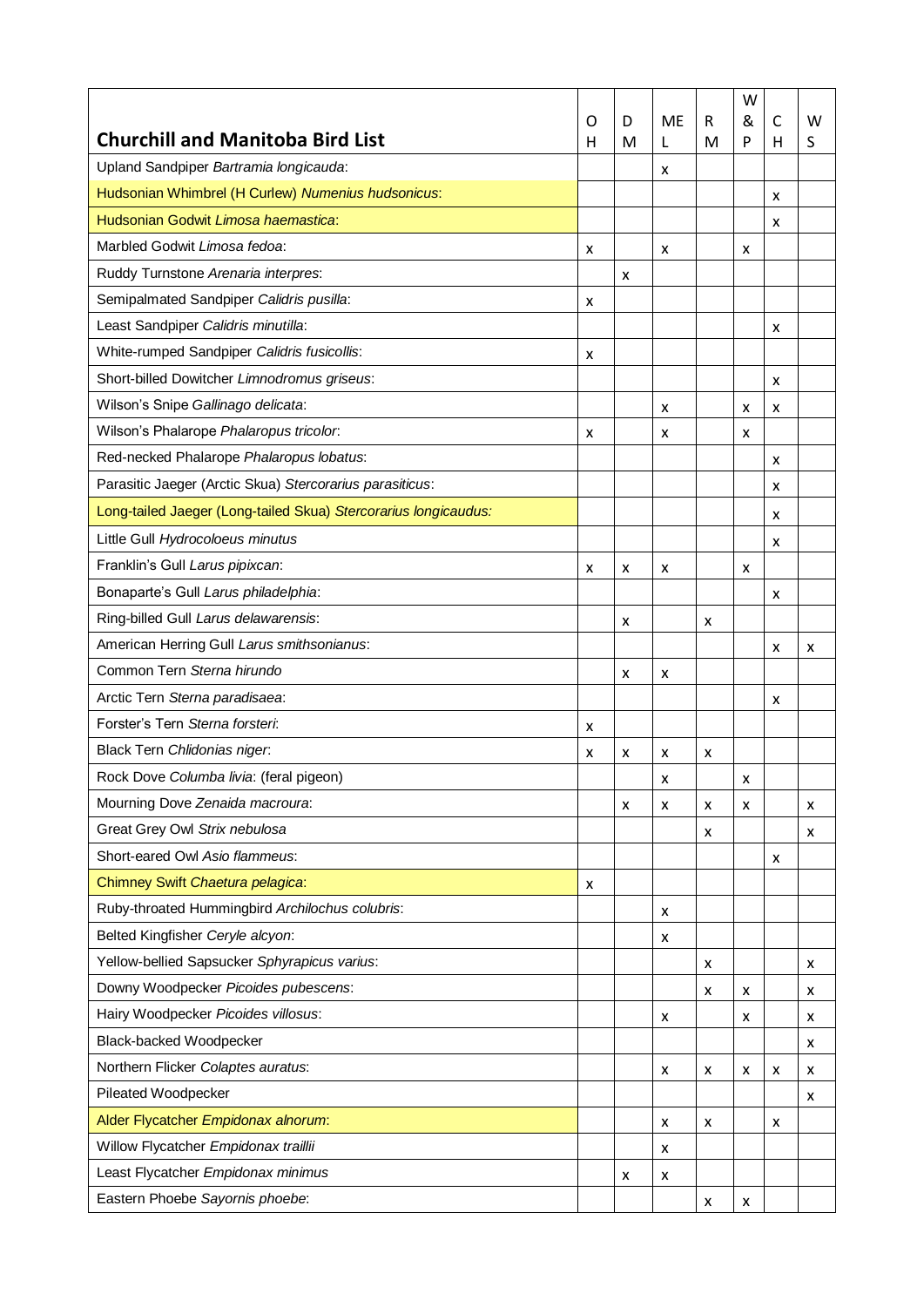|                                                                 |        |        |                |        | W      |        |        |
|-----------------------------------------------------------------|--------|--------|----------------|--------|--------|--------|--------|
| <b>Churchill and Manitoba Bird List</b>                         | O<br>н | D<br>M | <b>ME</b><br>L | R<br>M | &<br>P | C<br>н | W<br>S |
| Upland Sandpiper Bartramia longicauda:                          |        |        | x              |        |        |        |        |
| Hudsonian Whimbrel (H Curlew) Numenius hudsonicus:              |        |        |                |        |        | x      |        |
| Hudsonian Godwit Limosa haemastica:                             |        |        |                |        |        | x      |        |
| Marbled Godwit Limosa fedoa:                                    | x      |        | х              |        | x      |        |        |
| Ruddy Turnstone Arenaria interpres:                             |        | x      |                |        |        |        |        |
| Semipalmated Sandpiper Calidris pusilla:                        | x      |        |                |        |        |        |        |
| Least Sandpiper Calidris minutilla:                             |        |        |                |        |        | x      |        |
| White-rumped Sandpiper Calidris fusicollis:                     | x      |        |                |        |        |        |        |
| Short-billed Dowitcher Limnodromus griseus:                     |        |        |                |        |        | x      |        |
| Wilson's Snipe Gallinago delicata:                              |        |        | x              |        | x      | x      |        |
| Wilson's Phalarope Phalaropus tricolor:                         | x      |        | x              |        | x      |        |        |
| Red-necked Phalarope Phalaropus lobatus:                        |        |        |                |        |        | x      |        |
| Parasitic Jaeger (Arctic Skua) Stercorarius parasiticus:        |        |        |                |        |        | x      |        |
| Long-tailed Jaeger (Long-tailed Skua) Stercorarius longicaudus: |        |        |                |        |        | x      |        |
| Little Gull Hydrocoloeus minutus                                |        |        |                |        |        | x      |        |
| Franklin's Gull Larus pipixcan:                                 | x      | x      | х              |        | x      |        |        |
| Bonaparte's Gull Larus philadelphia:                            |        |        |                |        |        | x      |        |
| Ring-billed Gull Larus delawarensis:                            |        | x      |                | x      |        |        |        |
| American Herring Gull Larus smithsonianus:                      |        |        |                |        |        | x      | x      |
| Common Tern Sterna hirundo                                      |        | x      | x              |        |        |        |        |
| Arctic Tern Sterna paradisaea:                                  |        |        |                |        |        | x      |        |
| Forster's Tern Sterna forsteri:                                 | x      |        |                |        |        |        |        |
| Black Tern Chlidonias niger.                                    | x      | x      | х              | x      |        |        |        |
| Rock Dove Columba livia: (feral pigeon)                         |        |        | х              |        | x      |        |        |
| Mourning Dove Zenaida macroura:                                 |        | x      | х              | x      | x      |        | x      |
| Great Grey Owl Strix nebulosa                                   |        |        |                | x      |        |        | x      |
| Short-eared Owl Asio flammeus:                                  |        |        |                |        |        | x      |        |
| Chimney Swift Chaetura pelagica:                                | x      |        |                |        |        |        |        |
| Ruby-throated Hummingbird Archilochus colubris:                 |        |        | х              |        |        |        |        |
| Belted Kingfisher Ceryle alcyon:                                |        |        | x              |        |        |        |        |
| Yellow-bellied Sapsucker Sphyrapicus varius:                    |        |        |                | x      |        |        | x      |
| Downy Woodpecker Picoides pubescens:                            |        |        |                | x      | x      |        | x      |
| Hairy Woodpecker Picoides villosus:                             |        |        | x              |        | x      |        | x      |
| Black-backed Woodpecker                                         |        |        |                |        |        |        | x      |
| Northern Flicker Colaptes auratus:                              |        |        | x              | x      | x      | x      | x      |
| Pileated Woodpecker                                             |        |        |                |        |        |        | x      |
| Alder Flycatcher Empidonax alnorum:                             |        |        | X              | x      |        | x      |        |
| Willow Flycatcher Empidonax traillii                            |        |        | x              |        |        |        |        |
| Least Flycatcher Empidonax minimus                              |        | x      | х              |        |        |        |        |
| Eastern Phoebe Sayornis phoebe:                                 |        |        |                | x      | x      |        |        |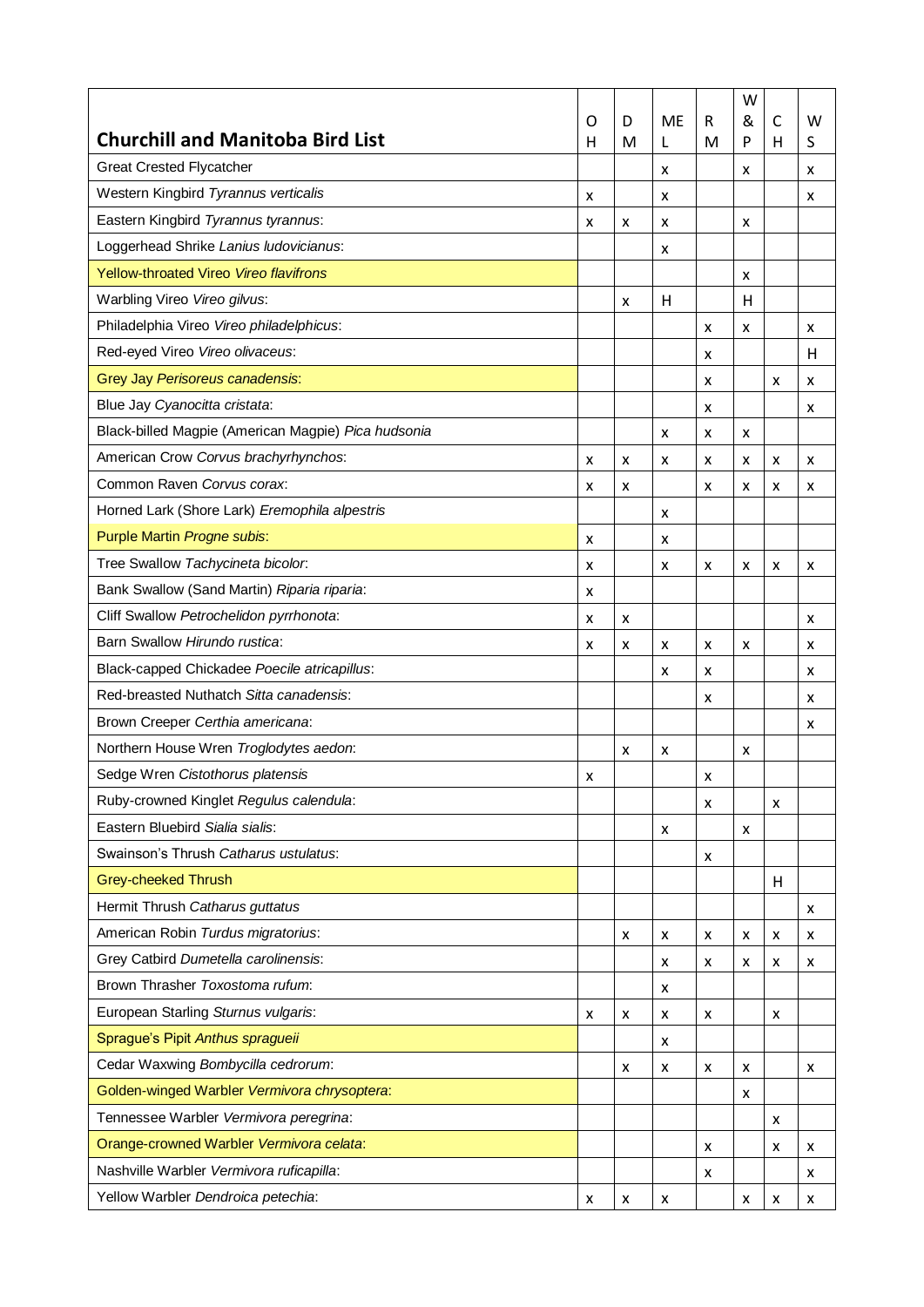|                                                     | O | D | <b>ME</b> | R | W<br>& | C | W |
|-----------------------------------------------------|---|---|-----------|---|--------|---|---|
| <b>Churchill and Manitoba Bird List</b>             | н | M | L         | M | P      | н | S |
| <b>Great Crested Flycatcher</b>                     |   |   | x         |   | x      |   | x |
| Western Kingbird Tyrannus verticalis                | x |   | X         |   |        |   | x |
| Eastern Kingbird Tyrannus tyrannus:                 | x | x | х         |   | x      |   |   |
| Loggerhead Shrike Lanius Iudovicianus:              |   |   | x         |   |        |   |   |
| Yellow-throated Vireo Vireo flavifrons              |   |   |           |   | x      |   |   |
| Warbling Vireo Vireo gilvus:                        |   | x | H         |   | H      |   |   |
| Philadelphia Vireo Vireo philadelphicus:            |   |   |           | x | x      |   | x |
| Red-eyed Vireo Vireo olivaceus:                     |   |   |           | x |        |   | н |
| Grey Jay Perisoreus canadensis:                     |   |   |           | x |        | x | x |
| Blue Jay Cyanocitta cristata:                       |   |   |           | x |        |   | x |
| Black-billed Magpie (American Magpie) Pica hudsonia |   |   | X         | x | x      |   |   |
| American Crow Corvus brachyrhynchos:                | x | x | X         | x | x      | x | x |
| Common Raven Corvus corax:                          | x | x |           | x | x      | x | x |
| Horned Lark (Shore Lark) Eremophila alpestris       |   |   | X         |   |        |   |   |
| Purple Martin Progne subis:                         | x |   | X         |   |        |   |   |
| Tree Swallow Tachycineta bicolor.                   | x |   | x         | x | x      | x | x |
| Bank Swallow (Sand Martin) Riparia riparia:         | x |   |           |   |        |   |   |
| Cliff Swallow Petrochelidon pyrrhonota:             | x | x |           |   |        |   | x |
| Barn Swallow Hirundo rustica:                       | x | x | X         | x | x      |   | x |
| Black-capped Chickadee Poecile atricapillus:        |   |   | x         | x |        |   | x |
| Red-breasted Nuthatch Sitta canadensis:             |   |   |           | x |        |   | x |
| Brown Creeper Certhia americana:                    |   |   |           |   |        |   | x |
| Northern House Wren Troglodytes aedon:              |   | x | x         |   | x      |   |   |
| Sedge Wren Cistothorus platensis                    | x |   |           | x |        |   |   |
| Ruby-crowned Kinglet Regulus calendula:             |   |   |           | x |        | x |   |
| Eastern Bluebird Sialia sialis:                     |   |   | X         |   | x      |   |   |
| Swainson's Thrush Catharus ustulatus:               |   |   |           | x |        |   |   |
| <b>Grey-cheeked Thrush</b>                          |   |   |           |   |        | Н |   |
| Hermit Thrush Catharus guttatus                     |   |   |           |   |        |   | x |
| American Robin Turdus migratorius:                  |   | X | X         | X | x      | x | x |
| Grey Catbird Dumetella carolinensis:                |   |   | x         | x | x      | x | x |
| Brown Thrasher Toxostoma rufum:                     |   |   | X         |   |        |   |   |
| European Starling Sturnus vulgaris:                 | x | x | x         | x |        | x |   |
| Sprague's Pipit Anthus spragueii                    |   |   | х         |   |        |   |   |
| Cedar Waxwing Bombycilla cedrorum:                  |   | x | x         | x | x      |   | x |
| Golden-winged Warbler Vermivora chrysoptera:        |   |   |           |   | x      |   |   |
| Tennessee Warbler Vermivora peregrina:              |   |   |           |   |        | x |   |
| Orange-crowned Warbler Vermivora celata:            |   |   |           | x |        | x | x |
| Nashville Warbler Vermivora ruficapilla:            |   |   |           | x |        |   | x |
| Yellow Warbler Dendroica petechia:                  | x | x | x         |   | x      | x | x |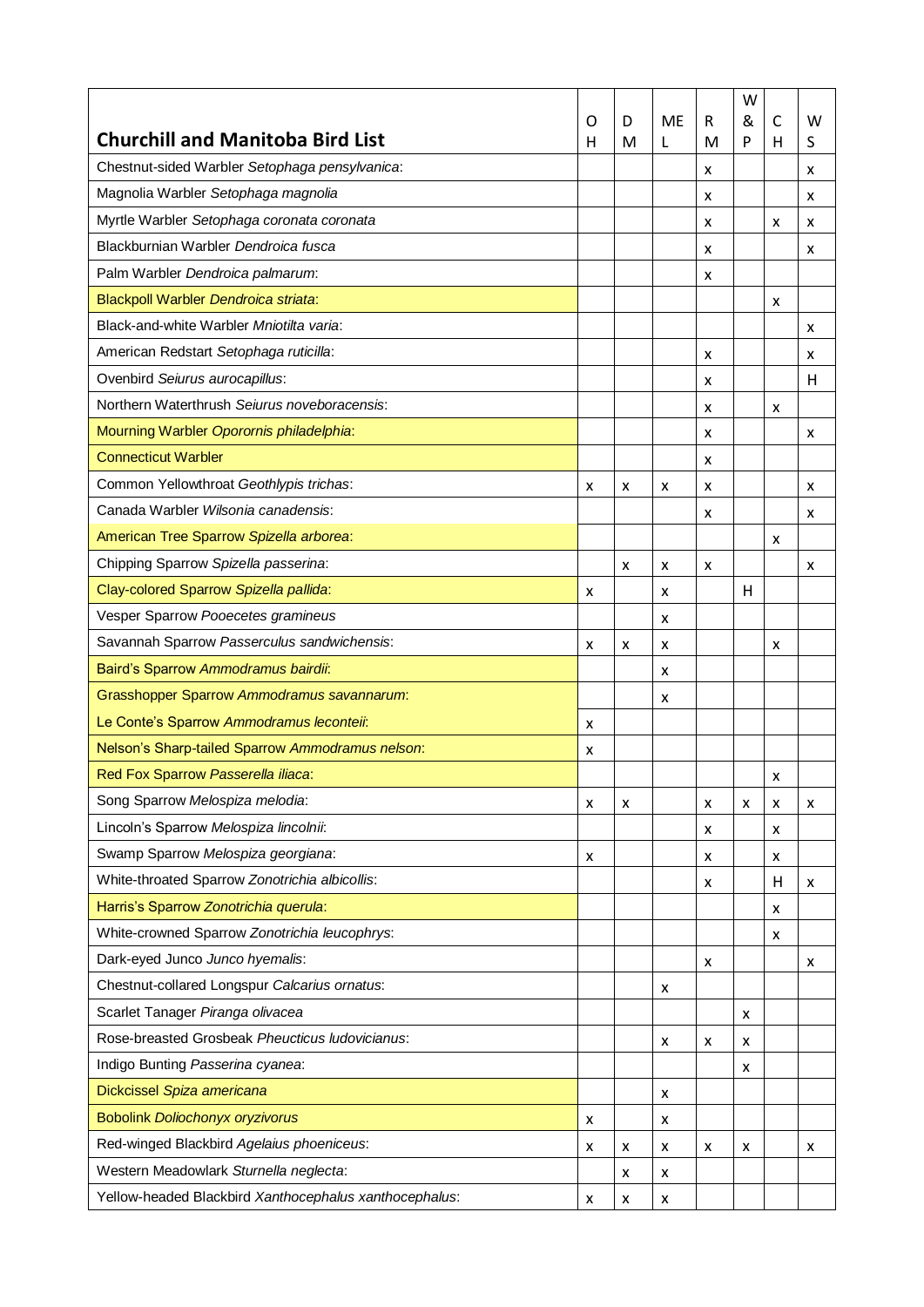|                                                        |        |        |                |        | W      |        |        |
|--------------------------------------------------------|--------|--------|----------------|--------|--------|--------|--------|
| <b>Churchill and Manitoba Bird List</b>                | O<br>н | D<br>M | <b>ME</b><br>L | R<br>M | &<br>P | С<br>н | w<br>S |
| Chestnut-sided Warbler Setophaga pensylvanica:         |        |        |                | x      |        |        | x      |
| Magnolia Warbler Setophaga magnolia                    |        |        |                | x      |        |        | x      |
| Myrtle Warbler Setophaga coronata coronata             |        |        |                | x      |        | x      | x      |
| Blackburnian Warbler Dendroica fusca                   |        |        |                | x      |        |        | x      |
| Palm Warbler Dendroica palmarum:                       |        |        |                | x      |        |        |        |
| Blackpoll Warbler Dendroica striata:                   |        |        |                |        |        | x      |        |
| Black-and-white Warbler Mniotilta varia:               |        |        |                |        |        |        | x      |
| American Redstart Setophaga ruticilla:                 |        |        |                | x      |        |        | x      |
| Ovenbird Seiurus aurocapillus:                         |        |        |                | x      |        |        | н      |
| Northern Waterthrush Seiurus noveboracensis:           |        |        |                | x      |        | x      |        |
| Mourning Warbler Oporornis philadelphia:               |        |        |                | x      |        |        | x      |
| <b>Connecticut Warbler</b>                             |        |        |                | x      |        |        |        |
| Common Yellowthroat Geothlypis trichas:                | x      | x      | x              | x      |        |        | x      |
| Canada Warbler Wilsonia canadensis:                    |        |        |                | x      |        |        | x      |
| American Tree Sparrow Spizella arborea:                |        |        |                |        |        | x      |        |
| Chipping Sparrow Spizella passerina:                   |        | x      | x              | x      |        |        | x      |
| Clay-colored Sparrow Spizella pallida:                 | x      |        | x              |        | H      |        |        |
| Vesper Sparrow Pooecetes gramineus                     |        |        | X              |        |        |        |        |
| Savannah Sparrow Passerculus sandwichensis:            | x      | x      | X              |        |        | x      |        |
| Baird's Sparrow Ammodramus bairdii:                    |        |        | x              |        |        |        |        |
| Grasshopper Sparrow Ammodramus savannarum:             |        |        | x              |        |        |        |        |
| Le Conte's Sparrow Ammodramus leconteii:               | x      |        |                |        |        |        |        |
| Nelson's Sharp-tailed Sparrow Ammodramus nelson:       | x      |        |                |        |        |        |        |
| Red Fox Sparrow Passerella iliaca:                     |        |        |                |        |        | x      |        |
| Song Sparrow Melospiza melodia:                        | x      | x      |                | X      | x      | x      | х      |
| Lincoln's Sparrow Melospiza lincolnii:                 |        |        |                | x      |        | x      |        |
| Swamp Sparrow Melospiza georgiana:                     | x      |        |                | x      |        | x      |        |
| White-throated Sparrow Zonotrichia albicollis:         |        |        |                | x      |        | н      | x      |
| Harris's Sparrow Zonotrichia querula:                  |        |        |                |        |        | x      |        |
| White-crowned Sparrow Zonotrichia leucophrys:          |        |        |                |        |        | x      |        |
| Dark-eyed Junco Junco hyemalis:                        |        |        |                | x      |        |        | x      |
| Chestnut-collared Longspur Calcarius ornatus:          |        |        | X              |        |        |        |        |
| Scarlet Tanager Piranga olivacea                       |        |        |                |        | x      |        |        |
| Rose-breasted Grosbeak Pheucticus Iudovicianus:        |        |        | x              | x      | x      |        |        |
| Indigo Bunting Passerina cyanea:                       |        |        |                |        | x      |        |        |
| Dickcissel Spiza americana                             |        |        | X              |        |        |        |        |
| <b>Bobolink Doliochonyx oryzivorus</b>                 | x      |        | х              |        |        |        |        |
| Red-winged Blackbird Agelaius phoeniceus:              | x      | x      | X              | x      | x      |        | x      |
| Western Meadowlark Sturnella neglecta:                 |        | x      | х              |        |        |        |        |
| Yellow-headed Blackbird Xanthocephalus xanthocephalus: | x      | x      | x              |        |        |        |        |